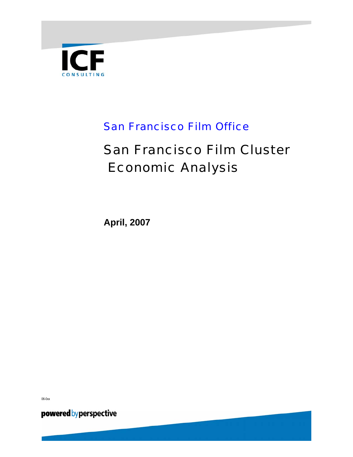

# San Francisco Film Office

# San Francisco Film Cluster Economic Analysis

**April, 2007** 

06-0xx

powered by perspective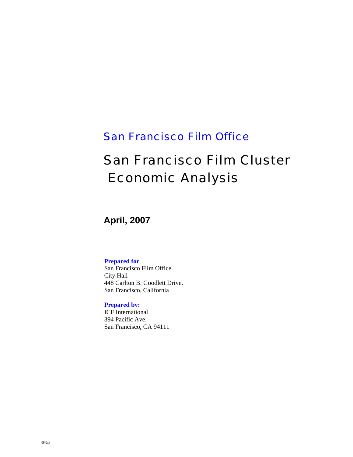## San Francisco Film Office

# San Francisco Film Cluster Economic Analysis

**April, 2007** 

#### **Prepared for**

San Francisco Film Office City Hall 448 Carlton B. Goodlett Drive. San Francisco, California

#### **Prepared by:**

ICF International 394 Pacific Ave. San Francisco, CA 94111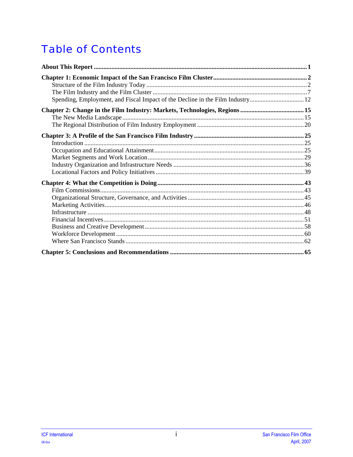# **Table of Contents**

| Spending, Employment, and Fiscal Impact of the Decline in the Film Industry12 |  |
|-------------------------------------------------------------------------------|--|
|                                                                               |  |
|                                                                               |  |
|                                                                               |  |
|                                                                               |  |
|                                                                               |  |
|                                                                               |  |
|                                                                               |  |
|                                                                               |  |
|                                                                               |  |
|                                                                               |  |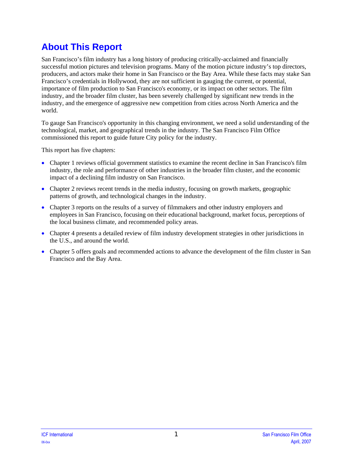# <span id="page-6-0"></span>**About This Report**

San Francisco's film industry has a long history of producing critically-acclaimed and financially successful motion pictures and television programs. Many of the motion picture industry's top directors, producers, and actors make their home in San Francisco or the Bay Area. While these facts may stake San Francisco's credentials in Hollywood, they are not sufficient in gauging the current, or potential, importance of film production to San Francisco's economy, or its impact on other sectors. The film industry, and the broader film cluster, has been severely challenged by significant new trends in the industry, and the emergence of aggressive new competition from cities across North America and the world.

To gauge San Francisco's opportunity in this changing environment, we need a solid understanding of the technological, market, and geographical trends in the industry. The San Francisco Film Office commissioned this report to guide future City policy for the industry.

This report has five chapters:

- Chapter 1 reviews official government statistics to examine the recent decline in San Francisco's film industry, the role and performance of other industries in the broader film cluster, and the economic impact of a declining film industry on San Francisco.
- Chapter 2 reviews recent trends in the media industry, focusing on growth markets, geographic patterns of growth, and technological changes in the industry.
- Chapter 3 reports on the results of a survey of filmmakers and other industry employers and employees in San Francisco, focusing on their educational background, market focus, perceptions of the local business climate, and recommended policy areas.
- Chapter 4 presents a detailed review of film industry development strategies in other jurisdictions in the U.S., and around the world.
- Chapter 5 offers goals and recommended actions to advance the development of the film cluster in San Francisco and the Bay Area.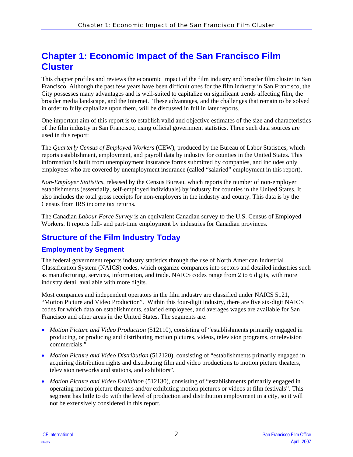## <span id="page-7-0"></span>**Chapter 1: Economic Impact of the San Francisco Film Cluster**

This chapter profiles and reviews the economic impact of the film industry and broader film cluster in San Francisco. Although the past few years have been difficult ones for the film industry in San Francisco, the City possesses many advantages and is well-suited to capitalize on significant trends affecting film, the broader media landscape, and the Internet. These advantages, and the challenges that remain to be solved in order to fully capitalize upon them, will be discussed in full in later reports.

One important aim of this report is to establish valid and objective estimates of the size and characteristics of the film industry in San Francisco, using official government statistics. Three such data sources are used in this report:

The *Quarterly Census of Employed Workers* (CEW), produced by the Bureau of Labor Statistics, which reports establishment, employment, and payroll data by industry for counties in the United States. This information is built from unemployment insurance forms submitted by companies, and includes only employees who are covered by unemployment insurance (called "salaried" employment in this report).

*Non-Employer Statistics*, released by the Census Bureau, which reports the number of non-employer establishments (essentially, self-employed individuals) by industry for counties in the United States. It also includes the total gross receipts for non-employers in the industry and county. This data is by the Census from IRS income tax returns.

The Canadian *Labour Force Survey* is an equivalent Canadian survey to the U.S. Census of Employed Workers. It reports full- and part-time employment by industries for Canadian provinces.

### **Structure of the Film Industry Today**

### **Employment by Segment**

The federal government reports industry statistics through the use of North American Industrial Classification System (NAICS) codes, which organize companies into sectors and detailed industries such as manufacturing, services, information, and trade. NAICS codes range from 2 to 6 digits, with more industry detail available with more digits.

Most companies and independent operators in the film industry are classified under NAICS 5121, "Motion Picture and Video Production". Within this four-digit industry, there are five six-digit NAICS codes for which data on establishments, salaried employees, and averages wages are available for San Francisco and other areas in the United States. The segments are:

- *Motion Picture and Video Production* (512110), consisting of "establishments primarily engaged in producing, or producing and distributing motion pictures, videos, television programs, or television commercials."
- *Motion Picture and Video Distribution* (512120), consisting of "establishments primarily engaged in acquiring distribution rights and distributing film and video productions to motion picture theaters, television networks and stations, and exhibitors".
- *Motion Picture and Video Exhibition* (512130), consisting of "establishments primarily engaged in operating motion picture theaters and/or exhibiting motion pictures or videos at film festivals". This segment has little to do with the level of production and distribution employment in a city, so it will not be extensively considered in this report.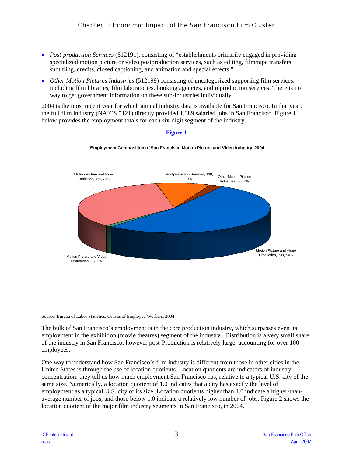- *Post-production Services* (512191), consisting of "establishments primarily engaged in providing specialized motion picture or video postproduction services, such as editing, film/tape transfers, subtitling, credits, closed captioning, and animation and special effects."
- *Other Motion Pictures Industries* (512199) consisting of uncategorized supporting film services, including film libraries, film laboratories, booking agencies, and reproduction services. There is no way to get government information on these sub-industries individually.

2004 is the most recent year for which annual industry data is available for San Francisco. In that year, the full film industry (NAICS 5121) directly provided 1,389 salaried jobs in San Francisco. Figure 1 below provides the employment totals for each six-digit segment of the industry.



### **Figure 1**

**Employment Composition of San Francisco Motion Picture and Video Industry, 2004**

Source: Bureau of Labor Statistics, Census of Employed Workers, 2004

The bulk of San Francisco's employment is in the core production industry, which surpasses even its employment in the exhibition (movie theatres) segment of the industry. Distribution is a very small share of the industry in San Francisco; however post-Production is relatively large, accounting for over 100 employees.

One way to understand how San Francisco's film industry is different from those in other cities in the United States is through the use of location quotients. Location quotients are indicators of industry concentration: they tell us how much employment San Francisco has, relative to a typical U.S. city of the same size. Numerically, a location quotient of 1.0 indicates that a city has exactly the level of employment as a typical U.S. city of its size. Location quotients higher than 1.0 indicate a higher-thanaverage number of jobs, and those below 1.0 indicate a relatively low number of jobs. Figure 2 shows the location quotient of the major film industry segments in San Francisco, in 2004.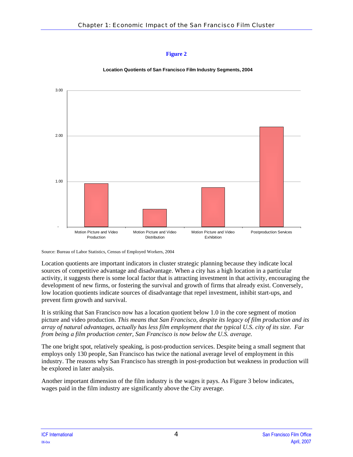



Source: Bureau of Labor Statistics, Census of Employed Workers, 2004

Location quotients are important indicators in cluster strategic planning because they indicate local sources of competitive advantage and disadvantage. When a city has a high location in a particular activity, it suggests there is some local factor that is attracting investment in that activity, encouraging the development of new firms, or fostering the survival and growth of firms that already exist. Conversely, low location quotients indicate sources of disadvantage that repel investment, inhibit start-ups, and prevent firm growth and survival.

It is striking that San Francisco now has a location quotient below 1.0 in the core segment of motion picture and video production. *This means that San Francisco, despite its legacy of film production and its array of natural advantages, actually has less film employment that the typical U.S. city of its size. Far from being a film production center, San Francisco is now below the U.S. average.*

The one bright spot, relatively speaking, is post-production services. Despite being a small segment that employs only 130 people, San Francisco has twice the national average level of employment in this industry. The reasons why San Francisco has strength in post-production but weakness in production will be explored in later analysis.

Another important dimension of the film industry is the wages it pays. As Figure 3 below indicates, wages paid in the film industry are significantly above the City average.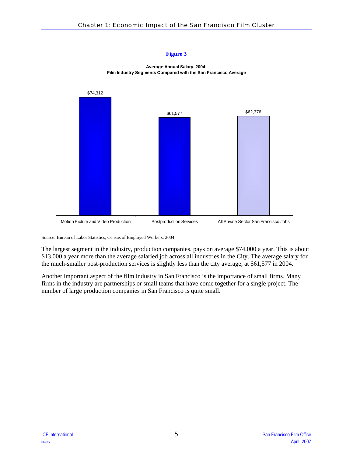



Source: Bureau of Labor Statistics, Census of Employed Workers, 2004

The largest segment in the industry, production companies, pays on average \$74,000 a year. This is about \$13,000 a year more than the average salaried job across all industries in the City. The average salary for the much-smaller post-production services is slightly less than the city average, at \$61,577 in 2004.

Another important aspect of the film industry in San Francisco is the importance of small firms. Many firms in the industry are partnerships or small teams that have come together for a single project. The number of large production companies in San Francisco is quite small.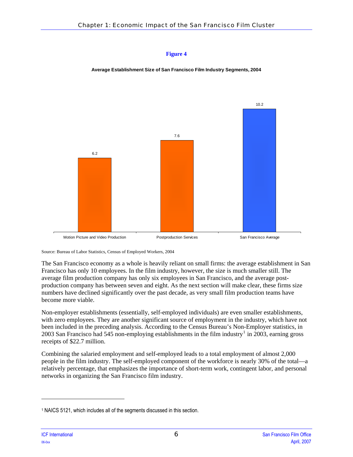**Average Establishment Size of San Francisco Film Industry Segments, 2004**



Source: Bureau of Labor Statistics, Census of Employed Workers, 2004

The San Francisco economy as a whole is heavily reliant on small firms: the average establishment in San Francisco has only 10 employees. In the film industry, however, the size is much smaller still. The average film production company has only six employees in San Francisco, and the average postproduction company has between seven and eight. As the next section will make clear, these firms size numbers have declined significantly over the past decade, as very small film production teams have become more viable.

Non-employer establishments (essentially, self-employed individuals) are even smaller establishments, with zero employees. They are another significant source of employment in the industry, which have not been included in the preceding analysis. According to the Census Bureau's Non-Employer statistics, in 2003 San Francisco had 545 non-employing establishments in the film industry<sup>[1](#page-11-0)</sup> in  $2003$ , earning gross receipts of \$22.7 million.

Combining the salaried employment and self-employed leads to a total employment of almost 2,000 people in the film industry. The self-employed component of the workforce is nearly 30% of the total—a relatively percentage, that emphasizes the importance of short-term work, contingent labor, and personal networks in organizing the San Francisco film industry.

1

<span id="page-11-0"></span><sup>1</sup> NAICS 5121, which includes all of the segments discussed in this section.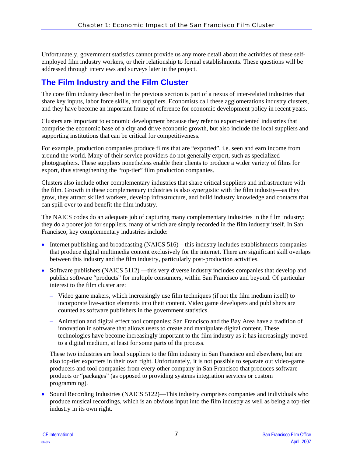<span id="page-12-0"></span>Unfortunately, government statistics cannot provide us any more detail about the activities of these selfemployed film industry workers, or their relationship to formal establishments. These questions will be addressed through interviews and surveys later in the project.

### **The Film Industry and the Film Cluster**

The core film industry described in the previous section is part of a nexus of inter-related industries that share key inputs, labor force skills, and suppliers. Economists call these agglomerations industry clusters, and they have become an important frame of reference for economic development policy in recent years.

Clusters are important to economic development because they refer to export-oriented industries that comprise the economic base of a city and drive economic growth, but also include the local suppliers and supporting institutions that can be critical for competitiveness.

For example, production companies produce films that are "exported", i.e. seen and earn income from around the world. Many of their service providers do not generally export, such as specialized photographers. These suppliers nonetheless enable their clients to produce a wider variety of films for export, thus strengthening the "top-tier" film production companies.

Clusters also include other complementary industries that share critical suppliers and infrastructure with the film. Growth in these complementary industries is also synergistic with the film industry—as they grow, they attract skilled workers, develop infrastructure, and build industry knowledge and contacts that can spill over to and benefit the film industry.

The NAICS codes do an adequate job of capturing many complementary industries in the film industry; they do a poorer job for suppliers, many of which are simply recorded in the film industry itself. In San Francisco, key complementary industries include:

- Internet publishing and broadcasting (NAICS 516)—this industry includes establishments companies that produce digital multimedia content exclusively for the internet. There are significant skill overlaps between this industry and the film industry, particularly post-production activities.
- Software publishers (NAICS 5112) —this very diverse industry includes companies that develop and publish software "products" for multiple consumers, within San Francisco and beyond. Of particular interest to the film cluster are:
	- Video game makers, which increasingly use film techniques (if not the film medium itself) to incorporate live-action elements into their content. Video game developers and publishers are counted as software publishers in the government statistics.
	- Animation and digital effect tool companies: San Francisco and the Bay Area have a tradition of innovation in software that allows users to create and manipulate digital content. These technologies have become increasingly important to the film industry as it has increasingly moved to a digital medium, at least for some parts of the process.

These two industries are local suppliers to the film industry in San Francisco and elsewhere, but are also top-tier exporters in their own right. Unfortunately, it is not possible to separate out video-game producers and tool companies from every other company in San Francisco that produces software products or "packages" (as opposed to providing systems integration services or custom programming).

• Sound Recording Industries (NAICS 5122)—This industry comprises companies and individuals who produce musical recordings, which is an obvious input into the film industry as well as being a top-tier industry in its own right.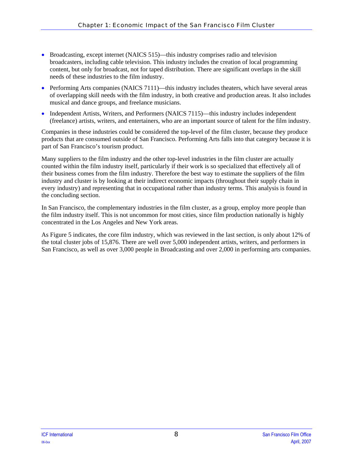- Broadcasting, except internet (NAICS 515)—this industry comprises radio and television broadcasters, including cable television. This industry includes the creation of local programming content, but only for broadcast, not for taped distribution. There are significant overlaps in the skill needs of these industries to the film industry.
- Performing Arts companies (NAICS 7111)—this industry includes theaters, which have several areas of overlapping skill needs with the film industry, in both creative and production areas. It also includes musical and dance groups, and freelance musicians.
- Independent Artists, Writers, and Performers (NAICS 7115)—this industry includes independent (freelance) artists, writers, and entertainers, who are an important source of talent for the film industry.

Companies in these industries could be considered the top-level of the film cluster, because they produce products that are consumed outside of San Francisco. Performing Arts falls into that category because it is part of San Francisco's tourism product.

Many suppliers to the film industry and the other top-level industries in the film cluster are actually counted within the film industry itself, particularly if their work is so specialized that effectively all of their business comes from the film industry. Therefore the best way to estimate the suppliers of the film industry and cluster is by looking at their indirect economic impacts (throughout their supply chain in every industry) and representing that in occupational rather than industry terms. This analysis is found in the concluding section.

In San Francisco, the complementary industries in the film cluster, as a group, employ more people than the film industry itself. This is not uncommon for most cities, since film production nationally is highly concentrated in the Los Angeles and New York areas.

As Figure 5 indicates, the core film industry, which was reviewed in the last section, is only about 12% of the total cluster jobs of 15,876. There are well over 5,000 independent artists, writers, and performers in San Francisco, as well as over 3,000 people in Broadcasting and over 2,000 in performing arts companies.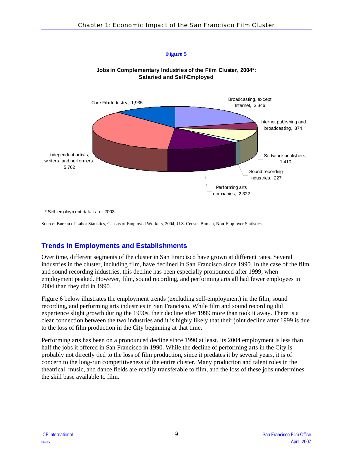



### **Jobs in Complementary Industries of the Film Cluster, 2004\*: Salaried and Self-Employed**

\* Self-employment data is for 2003.

Source: Bureau of Labor Statistics, Census of Employed Workers, 2004; U.S. Census Bureau, Non-Employer Statistics

### **Trends in Employments and Establishments**

Over time, different segments of the cluster in San Francisco have grown at different rates. Several industries in the cluster, including film, have declined in San Francisco since 1990. In the case of the film and sound recording industries, this decline has been especially pronounced after 1999, when employment peaked. However, film, sound recording, and performing arts all had fewer employees in 2004 than they did in 1990.

Figure 6 below illustrates the employment trends (excluding self-employment) in the film, sound recording, and performing arts industries in San Francisco. While film and sound recording did experience slight growth during the 1990s, their decline after 1999 more than took it away. There is a clear connection between the two industries and it is highly likely that their joint decline after 1999 is due to the loss of film production in the City beginning at that time.

Performing arts has been on a pronounced decline since 1990 at least. Its 2004 employment is less than half the jobs it offered in San Francisco in 1990. While the decline of performing arts in the City is probably not directly tied to the loss of film production, since it predates it by several years, it is of concern to the long-run competitiveness of the entire cluster. Many production and talent roles in the theatrical, music, and dance fields are readily transferable to film, and the loss of these jobs undermines the skill base available to film.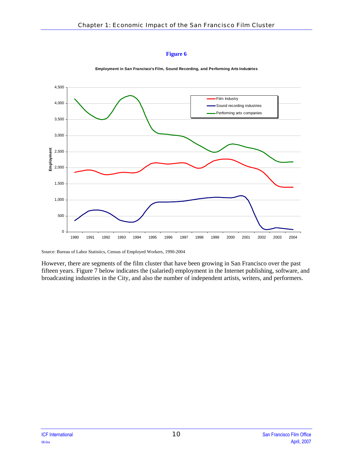



**Employment in San Francisco's Film, Sound Recording, and Performing Arts Industries**

Source: Bureau of Labor Statistics, Census of Employed Workers, 1990-2004

However, there are segments of the film cluster that have been growing in San Francisco over the past fifteen years. Figure 7 below indicates the (salaried) employment in the Internet publishing, software, and broadcasting industries in the City, and also the number of independent artists, writers, and performers.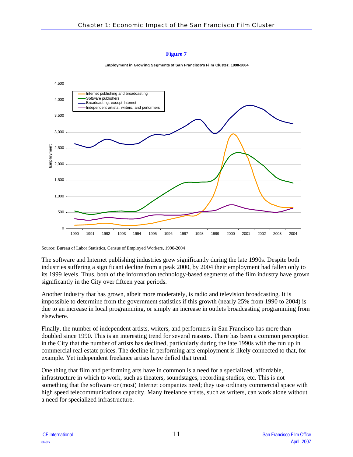



Source: Bureau of Labor Statistics, Census of Employed Workers, 1990-2004

The software and Internet publishing industries grew significantly during the late 1990s. Despite both industries suffering a significant decline from a peak 2000, by 2004 their employment had fallen only to its 1999 levels. Thus, both of the information technology-based segments of the film industry have grown significantly in the City over fifteen year periods.

Another industry that has grown, albeit more moderately, is radio and television broadcasting. It is impossible to determine from the government statistics if this growth (nearly 25% from 1990 to 2004) is due to an increase in local programming, or simply an increase in outlets broadcasting programming from elsewhere.

Finally, the number of independent artists, writers, and performers in San Francisco has more than doubled since 1990. This is an interesting trend for several reasons. There has been a common perception in the City that the number of artists has declined, particularly during the late 1990s with the run up in commercial real estate prices. The decline in performing arts employment is likely connected to that, for example. Yet independent freelance artists have defied that trend.

One thing that film and performing arts have in common is a need for a specialized, affordable, infrastructure in which to work, such as theaters, soundstages, recording studios, etc. This is not something that the software or (most) Internet companies need; they use ordinary commercial space with high speed telecommunications capacity. Many freelance artists, such as writers, can work alone without a need for specialized infrastructure.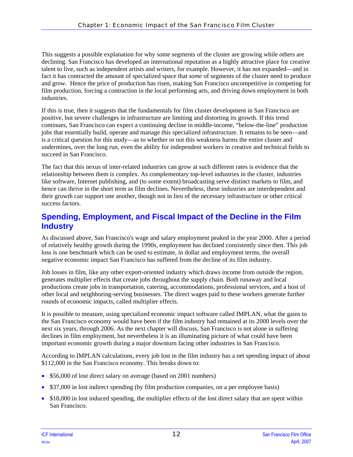<span id="page-17-0"></span>This suggests a possible explanation for why some segments of the cluster are growing while others are declining. San Francisco has developed an international reputation as a highly attractive place for creative talent to live, such as independent artists and writers, for example. However, it has not expanded—and in fact it has contracted the amount of specialized space that *some* of segments of the cluster need to produce and grow. Hence the price of production has risen, making San Francisco uncompetitive in competing for film production, forcing a contraction in the local performing arts, and driving down employment in both industries.

If this is true, then it suggests that the fundamentals for film cluster development in San Francisco are positive, but severe challenges in infrastructure are limiting and distorting its growth. If this trend continues, San Francisco can expect a continuing decline in middle-income, "below-the-line" production jobs that essentially build, operate and manage this specialized infrastructure. It remains to be seen—and is a critical question for this study—as to whether or not this weakness harms the entire cluster and undermines, over the long run, even the ability for independent workers in creative and technical fields to succeed in San Francisco.

The fact that this nexus of inter-related industries can grow at such different rates is evidence that the relationship between them is complex. As complementary top-level industries in the cluster, industries like software, Internet publishing, and (to some extent) broadcasting serve distinct markets to film, and hence can thrive in the short term as film declines. Nevertheless, these industries are interdependent and their growth can support one another, though not in lieu of the necessary infrastructure or other critical success factors.

### **Spending, Employment, and Fiscal Impact of the Decline in the Film Industry**

As discussed above, San Francisco's wage and salary employment peaked in the year 2000. After a period of relatively healthy growth during the 1990s, employment has declined consistently since then. This job loss is one benchmark which can be used to estimate, in dollar and employment terms, the overall negative economic impact San Francisco has suffered from the decline of its film industry.

Job losses in film, like any other export-oriented industry which draws income from outside the region, generates multiplier effects that create jobs throughout the supply chain. Both runaway and local productions create jobs in transportation, catering, accommodations, professional services, and a host of other local and neighboring-serving businesses. The direct wages paid to these workers generate further rounds of economic impacts, called multiplier effects.

It is possible to measure, using specialized economic impact software called IMPLAN, what the gains to the San Francisco economy would have been if the film industry had remained at its 2000 levels over the next six years, through 2006. As the next chapter will discuss, San Francisco is not alone in suffering declines in film employment, but nevertheless it is an illuminating picture of what could have been important economic growth during a major downturn facing other industries in San Francisco.

According to IMPLAN calculations, every job lost in the film industry has a net spending impact of about \$112,000 in the San Francisco economy. This breaks down to:

- \$56,000 of lost direct salary on average (based on 2001 numbers)
- \$37,000 in lost indirect spending (by film production companies, on a per employee basis)
- \$18,000 in lost induced spending, the multiplier effects of the lost direct salary that are spent within San Francisco.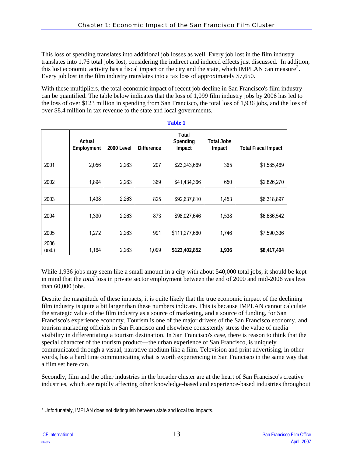This loss of spending translates into additional job losses as well. Every job lost in the film industry translates into 1.76 total jobs lost, considering the indirect and induced effects just discussed. In addition, this lost economic activity has a fiscal impact on the city and the state, which IMPLAN can measure<sup>[2](#page-18-0)</sup>. Every job lost in the film industry translates into a tax loss of approximately \$7,650.

With these multipliers, the total economic impact of recent job decline in San Francisco's film industry can be quantified. The table below indicates that the loss of 1,099 film industry jobs by 2006 has led to the loss of over \$123 million in spending from San Francisco, the total loss of 1,936 jobs, and the loss of over \$8.4 million in tax revenue to the state and local governments.

|                | Actual<br>Employment | 2000 Level | <b>Difference</b> | Total<br>Spending<br>Impact | Total Jobs<br>Impact | <b>Total Fiscal Impact</b> |
|----------------|----------------------|------------|-------------------|-----------------------------|----------------------|----------------------------|
| 2001           | 2,056                | 2,263      | 207               | \$23,243,669                | 365                  | \$1,585,469                |
| 2002           | 1,894                | 2,263      | 369               | \$41,434,366                | 650                  | \$2,826,270                |
| 2003           | 1,438                | 2,263      | 825               | \$92,637,810                | 1,453                | \$6,318,897                |
| 2004           | 1,390                | 2,263      | 873               | \$98,027,646                | 1,538                | \$6,686,542                |
| 2005           | 1,272                | 2,263      | 991               | \$111,277,660               | 1,746                | \$7,590,336                |
| 2006<br>(est.) | 1,164                | 2,263      | 1,099             | \$123,402,852               | 1,936                | \$8,417,404                |

**Table 1** 

While 1,936 jobs may seem like a small amount in a city with about 540,000 total jobs, it should be kept in mind that the *total* loss in private sector employment between the end of 2000 and mid-2006 was less than 60,000 jobs.

Despite the magnitude of these impacts, it is quite likely that the true economic impact of the declining film industry is quite a bit larger than these numbers indicate. This is because IMPLAN cannot calculate the strategic value of the film industry as a source of marketing, and a source of funding, for San Francisco's experience economy. Tourism is one of the major drivers of the San Francisco economy, and tourism marketing officials in San Francisco and elsewhere consistently stress the value of media visibility in differentiating a tourism destination. In San Francisco's case, there is reason to think that the special character of the tourism product—the urban experience of San Francisco, is uniquely communicated through a visual, narrative medium like a film. Television and print advertising, in other words, has a hard time communicating what is worth experiencing in San Francisco in the same way that a film set here can.

Secondly, film and the other industries in the broader cluster are at the heart of San Francisco's creative industries, which are rapidly affecting other knowledge-based and experience-based industries throughout

l

<span id="page-18-0"></span><sup>2</sup> Unfortunately, IMPLAN does not distinguish between state and local tax impacts.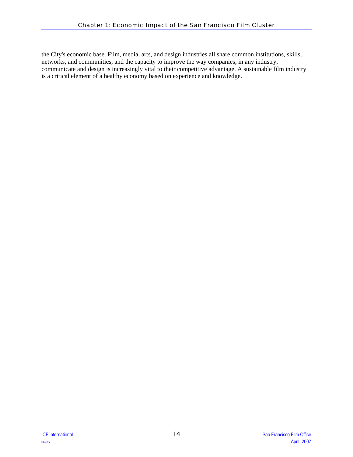the City's economic base. Film, media, arts, and design industries all share common institutions, skills, networks, and communities, and the capacity to improve the way companies, in any industry, communicate and design is increasingly vital to their competitive advantage. A sustainable film industry is a critical element of a healthy economy based on experience and knowledge.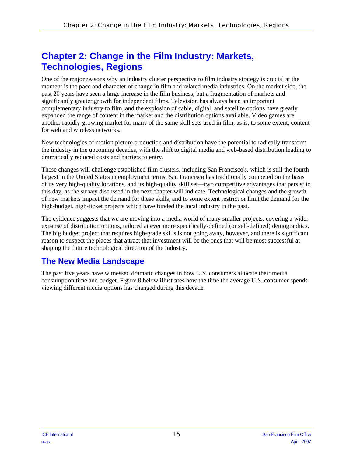## <span id="page-20-0"></span>**Chapter 2: Change in the Film Industry: Markets, Technologies, Regions**

One of the major reasons why an industry cluster perspective to film industry strategy is crucial at the moment is the pace and character of change in film and related media industries. On the market side, the past 20 years have seen a large increase in the film business, but a fragmentation of markets and significantly greater growth for independent films. Television has always been an important complementary industry to film, and the explosion of cable, digital, and satellite options have greatly expanded the range of content in the market and the distribution options available. Video games are another rapidly-growing market for many of the same skill sets used in film, as is, to some extent, content for web and wireless networks.

New technologies of motion picture production and distribution have the potential to radically transform the industry in the upcoming decades, with the shift to digital media and web-based distribution leading to dramatically reduced costs and barriers to entry.

These changes will challenge established film clusters, including San Francisco's, which is still the fourth largest in the United States in employment terms. San Francisco has traditionally competed on the basis of its very high-quality locations, and its high-quality skill set—two competitive advantages that persist to this day, as the survey discussed in the next chapter will indicate. Technological changes and the growth of new markets impact the demand for these skills, and to some extent restrict or limit the demand for the high-budget, high-ticket projects which have funded the local industry in the past.

The evidence suggests that we are moving into a media world of many smaller projects, covering a wider expanse of distribution options, tailored at ever more specifically-defined (or self-defined) demographics. The big budget project that requires high-grade skills is not going away, however, and there is significant reason to suspect the places that attract that investment will be the ones that will be most successful at shaping the future technological direction of the industry.

### **The New Media Landscape**

The past five years have witnessed dramatic changes in how U.S. consumers allocate their media consumption time and budget. [Figure 8](#page-21-0) below illustrates how the time the average U.S. consumer spends viewing different media options has changed during this decade.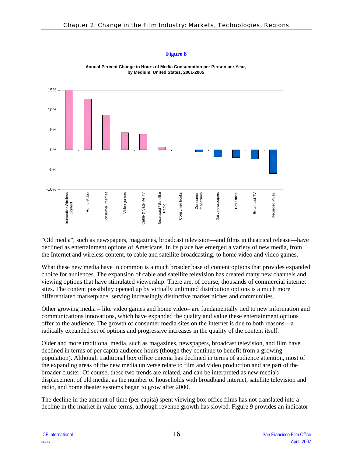<span id="page-21-0"></span>

**Annual Percent Change in Hours of Media Consumption per Person per Year, by Medium, United States, 2001-2005**

"Old media", such as newspapers, magazines, broadcast television—and films in theatrical release—have declined as entertainment options of Americans. In its place has emerged a variety of new media, from the Internet and wireless content, to cable and satellite broadcasting, to home video and video games.

What these new media have in common is a much broader base of content options that provides expanded choice for audiences. The expansion of cable and satellite television has created many new channels and viewing options that have stimulated viewership. There are, of course, thousands of commercial internet sites. The content possibility opened up by virtually unlimited distribution options is a much more differentiated marketplace, serving increasingly distinctive market niches and communities.

Other growing media – like video games and home video– are fundamentally tied to new information and communications innovations, which have expanded the quality and value these entertainment options offer to the audience. The growth of consumer media sites on the Internet is due to both reasons—a radically expanded set of options and progressive increases in the quality of the content itself.

Older and more traditional media, such as magazines, newspapers, broadcast television, and film have declined in terms of per capita audience hours (though they continue to benefit from a growing population). Although traditional box office cinema has declined in terms of audience attention, most of the expanding areas of the new media universe relate to film and video production and are part of the broader cluster. Of course, these two trends are related, and can be interpreted as new media's displacement of old media, as the number of households with broadband internet, satellite television and radio, and home theater systems began to grow after 2000.

The decline in the amount of time (per capita) spent viewing box office films has not translated into a decline in the market in value terms, although revenue growth has slowed. [Figure 9](#page-22-0) provides an indicator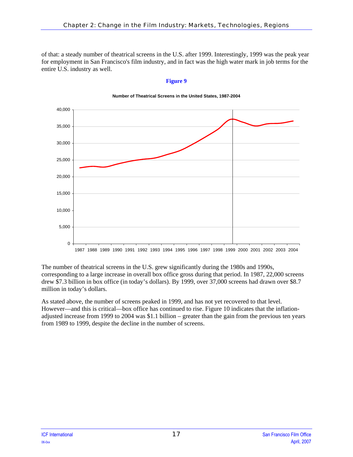<span id="page-22-0"></span>of that: a steady number of theatrical screens in the U.S. after 1999. Interestingly, 1999 was the peak year for employment in San Francisco's film industry, and in fact was the high water mark in job terms for the entire U.S. industry as well.

#### **Figure 9**



#### **Number of Theatrical Screens in the United States, 1987-2004**

The number of theatrical screens in the U.S. grew significantly during the 1980s and 1990s, corresponding to a large increase in overall box office gross during that period. In 1987, 22,000 screens drew \$7.3 billion in box office (in today's dollars). By 1999, over 37,000 screens had drawn over \$8.7 million in today's dollars.

As stated above, the number of screens peaked in 1999, and has not yet recovered to that level. However—and this is critical—box office has continued to rise. [Figure 10](#page-23-0) indicates that the inflationadjusted increase from 1999 to 2004 was \$1.1 billion – greater than the gain from the previous ten years from 1989 to 1999, despite the decline in the number of screens.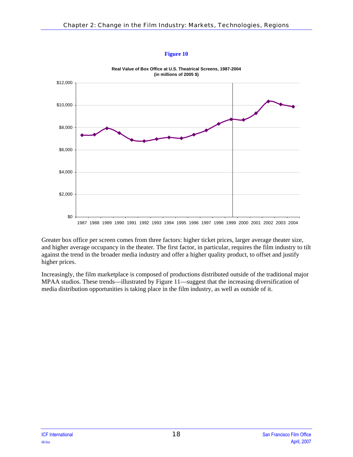<span id="page-23-0"></span>

**Real Value of Box Office at U.S. Theatrical Screens, 1987-2004 (in millions of 2005 \$)**

Greater box office per screen comes from three factors: higher ticket prices, larger average theater size, and higher average occupancy in the theater. The first factor, in particular, requires the film industry to tilt against the trend in the broader media industry and offer a higher quality product, to offset and justify higher prices.

Increasingly, the film marketplace is composed of productions distributed outside of the traditional major MPAA studios. These trends—illustrated by [Figure 11](#page-24-0)—suggest that the increasing diversification of media distribution opportunities is taking place in the film industry, as well as outside of it.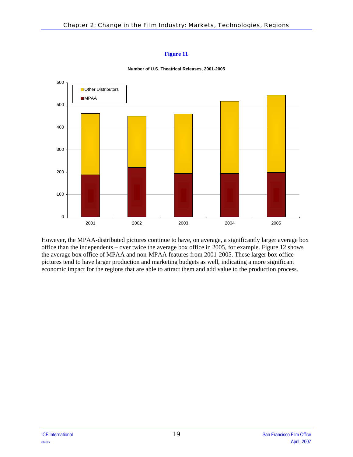<span id="page-24-0"></span>

**Number of U.S. Theatrical Releases, 2001-2005**

However, the MPAA-distributed pictures continue to have, on average, a significantly larger average box office than the independents – over twice the average box office in 2005, for example. [Figure 12](#page-25-1) shows the average box office of MPAA and non-MPAA features from 2001-2005. These larger box office pictures tend to have larger production and marketing budgets as well, indicating a more significant economic impact for the regions that are able to attract them and add value to the production process.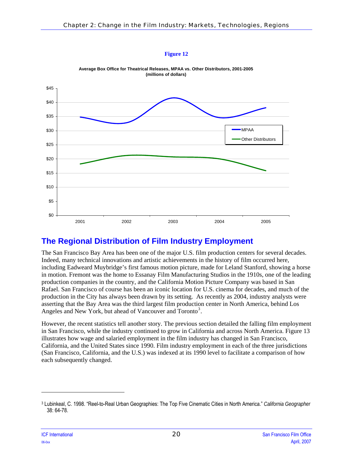

<span id="page-25-1"></span><span id="page-25-0"></span>

**Average Box Office for Theatrical Releases, MPAA vs. Other Distributors, 2001-2005 (millions of dollars)**

### **The Regional Distribution of Film Industry Employment**

The San Francisco Bay Area has been one of the major U.S. film production centers for several decades. Indeed, many technical innovations and artistic achievements in the history of film occurred here, including Eadweard Muybridge's first famous motion picture, made for Leland Stanford, showing a horse in motion. Fremont was the home to Essanay Film Manufacturing Studios in the 1910s, one of the leading production companies in the country, and the California Motion Picture Company was based in San Rafael. San Francisco of course has been an iconic location for U.S. cinema for decades, and much of the production in the City has always been drawn by its setting. As recently as 2004, industry analysts were asserting that the Bay Area was the third largest film production center in North America, behind Los Angeles and New York, but ahead of Vancouver and Toronto<sup>[3](#page-25-2)</sup>.

However, the recent statistics tell another story. The previous section detailed the falling film employment in San Francisco, while the industry continued to grow in California and across North America. [Figure 13](#page-26-0) illustrates how wage and salaried employment in the film industry has changed in San Francisco, California, and the United States since 1990. Film industry employment in each of the three jurisdictions (San Francisco, California, and the U.S.) was indexed at its 1990 level to facilitate a comparison of how each subsequently changed.

l

<span id="page-25-2"></span><sup>3</sup> Lubinkeal, C. 1998. "Reel-to-Real Urban Geographies: The Top Five Cinematic Cities in North America." *California Geographer* 38: 64-78.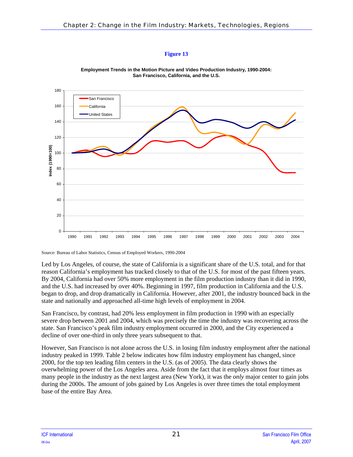<span id="page-26-0"></span>

**Employment Trends in the Motion Picture and Video Production Industry, 1990-2004: San Francisco, California, and the U.S.**

Source: Bureau of Labor Statistics, Census of Employed Workers, 1990-2004

Led by Los Angeles, of course, the state of California is a significant share of the U.S. total, and for that reason California's employment has tracked closely to that of the U.S. for most of the past fifteen years. By 2004, California had over 50% more employment in the film production industry than it did in 1990, and the U.S. had increased by over 40%. Beginning in 1997, film production in California and the U.S. began to drop, and drop dramatically in California. However, after 2001, the industry bounced back in the state and nationally and approached all-time high levels of employment in 2004.

San Francisco, by contrast, had 20% less employment in film production in 1990 with an especially severe drop between 2001 and 2004, which was precisely the time the industry was recovering across the state. San Francisco's peak film industry employment occurred in 2000, and the City experienced a decline of over one-third in only three years subsequent to that.

However, San Francisco is not alone across the U.S. in losing film industry employment after the national industry peaked in 1999. [Table 2](#page-27-0) below indicates how film industry employment has changed, since 2000, for the top ten leading film centers in the U.S. (as of 2005). The data clearly shows the overwhelming power of the Los Angeles area. Aside from the fact that it employs almost four times as many people in the industry as the next largest area (New York), it was the *only* major center to gain jobs during the 2000s. The amount of jobs gained by Los Angeles is over three times the total employment base of the entire Bay Area.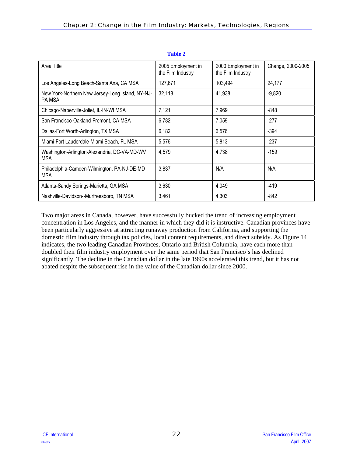<span id="page-27-0"></span>

| Area Title                                                 | 2005 Employment in<br>the Film Industry | 2000 Employment in<br>the Film Industry | Change, 2000-2005 |
|------------------------------------------------------------|-----------------------------------------|-----------------------------------------|-------------------|
| Los Angeles-Long Beach-Santa Ana, CA MSA                   | 127,671                                 | 103,494                                 | 24,177            |
| New York-Northern New Jersey-Long Island, NY-NJ-<br>PA MSA | 32,118                                  | 41,938                                  | $-9,820$          |
| Chicago-Naperville-Joliet, IL-IN-WI MSA                    | 7,121                                   | 7,969                                   | -848              |
| San Francisco-Oakland-Fremont, CA MSA                      | 6,782                                   | 7,059                                   | $-277$            |
| Dallas-Fort Worth-Arlington, TX MSA                        | 6,182                                   | 6,576                                   | $-394$            |
| Miami-Fort Lauderdale-Miami Beach, FL MSA                  | 5,576                                   | 5,813                                   | $-237$            |
| Washington-Arlington-Alexandria, DC-VA-MD-WV<br><b>MSA</b> | 4,579                                   | 4,738                                   | $-159$            |
| Philadelphia-Camden-Wilmington, PA-NJ-DE-MD<br><b>MSA</b>  | 3,837                                   | N/A                                     | N/A               |
| Atlanta-Sandy Springs-Marietta, GA MSA                     | 3,630                                   | 4,049                                   | $-419$            |
| Nashville-Davidson--Murfreesboro, TN MSA                   | 3,461                                   | 4,303                                   | -842              |

**Table 2** 

Two major areas in Canada, however, have successfully bucked the trend of increasing employment concentration in Los Angeles, and the manner in which they did it is instructive. Canadian provinces have been particularly aggressive at attracting runaway production from California, and supporting the domestic film industry through tax policies, local content requirements, and direct subsidy. As [Figure 14](#page-28-0) indicates, the two leading Canadian Provinces, Ontario and British Columbia, have each more than doubled their film industry employment over the same period that San Francisco's has declined significantly. The decline in the Canadian dollar in the late 1990s accelerated this trend, but it has not abated despite the subsequent rise in the value of the Canadian dollar since 2000.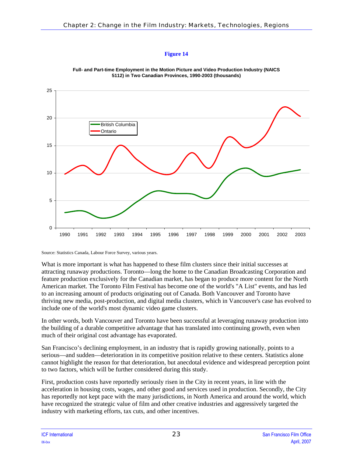<span id="page-28-0"></span>

**Full- and Part-time Employment in the Motion Picture and Video Production Industry (NAICS 5112) in Two Canadian Provinces, 1990-2003 (thousands)**

Source: Statistics Canada, Labour Force Survey, various years.

What is more important is what has happened to these film clusters since their initial successes at attracting runaway productions. Toronto—long the home to the Canadian Broadcasting Corporation and feature production exclusively for the Canadian market, has began to produce more content for the North American market. The Toronto Film Festival has become one of the world's "A List" events, and has led to an increasing amount of products originating out of Canada. Both Vancouver and Toronto have thriving new media, post-production, and digital media clusters, which in Vancouver's case has evolved to include one of the world's most dynamic video game clusters.

In other words, both Vancouver and Toronto have been successful at leveraging runaway production into the building of a durable competitive advantage that has translated into continuing growth, even when much of their original cost advantage has evaporated.

San Francisco's declining employment, in an industry that is rapidly growing nationally, points to a serious—and sudden—deterioration in its competitive position relative to these centers. Statistics alone cannot highlight the reason for that deterioration, but anecdotal evidence and widespread perception point to two factors, which will be further considered during this study.

First, production costs have reportedly seriously risen in the City in recent years, in line with the acceleration in housing costs, wages, and other good and services used in production. Secondly, the City has reportedly not kept pace with the many jurisdictions, in North America and around the world, which have recognized the strategic value of film and other creative industries and aggressively targeted the industry with marketing efforts, tax cuts, and other incentives.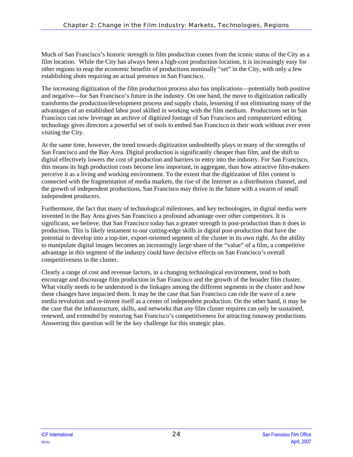Much of San Francisco's historic strength in film production comes from the iconic status of the City as a film location. While the City has always been a high-cost production location, it is increasingly easy for other regions to reap the economic benefits of productions nominally "set" in the City, with only a few establishing shots requiring an actual presence in San Francisco.

The increasing digitization of the film production process also has implications—potentially both positive and negative—for San Francisco's future in the industry. On one hand, the move to digitization radically transforms the production/development process and supply chain, lessening if not eliminating many of the advantages of an established labor pool skilled in working with the film medium. Productions set in San Francisco can now leverage an archive of digitized footage of San Francisco and computerized editing technology gives directors a powerful set of tools to embed San Francisco in their work without ever even visiting the City.

At the same time, however, the trend towards digitization undoubtedly plays to many of the strengths of San Francisco and the Bay Area. Digital production is significantly cheaper than film, and the shift to digital effectively lowers the cost of production and barriers to entry into the industry. For San Francisco, this means its high production costs become less important, in aggregate, than how attractive film-makers perceive it as a living and working environment. To the extent that the digitization of film content is connected with the fragmentation of media markets, the rise of the Internet as a distribution channel, and the growth of independent productions, San Francisco may thrive in the future with a swarm of small independent producers.

Furthermore, the fact that many of technological milestones, and key technologies, in digital media were invented in the Bay Area gives San Francisco a profound advantage over other competitors. It is significant, we believe, that San Francisco today has a greater strength in post-production than it does in production. This is likely testament to our cutting-edge skills in digital post-production that have the potential to develop into a top-tier, export-oriented segment of the cluster in its own right. As the ability to manipulate digital images becomes an increasingly large share of the "value" of a film, a competitive advantage in this segment of the industry could have decisive effects on San Francisco's overall competitiveness in the cluster.

Clearly a range of cost and revenue factors, in a changing technological environment, tend to both encourage and discourage film production in San Francisco and the growth of the broader film cluster. What vitally needs to be understood is the linkages among the different segments in the cluster and how these changes have impacted them. It may be the case that San Francisco can ride the wave of a new media revolution and re-invent itself as a center of independent production. On the other hand, it may be the case that the infrastructure, skills, and networks that *any* film cluster requires can only be sustained, renewed, and extended by restoring San Francisco's competitiveness for attracting runaway productions. Answering this question will be the key challenge for this strategic plan.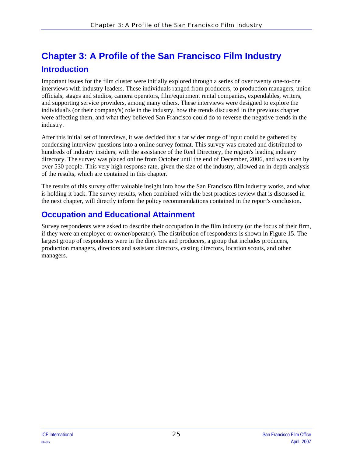# <span id="page-30-0"></span>**Chapter 3: A Profile of the San Francisco Film Industry Introduction**

Important issues for the film cluster were initially explored through a series of over twenty one-to-one interviews with industry leaders. These individuals ranged from producers, to production managers, union officials, stages and studios, camera operators, film/equipment rental companies, expendables, writers, and supporting service providers, among many others. These interviews were designed to explore the individual's (or their company's) role in the industry, how the trends discussed in the previous chapter were affecting them, and what they believed San Francisco could do to reverse the negative trends in the industry.

After this initial set of interviews, it was decided that a far wider range of input could be gathered by condensing interview questions into a online survey format. This survey was created and distributed to hundreds of industry insiders, with the assistance of the Reel Directory, the region's leading industry directory. The survey was placed online from October until the end of December, 2006, and was taken by over 530 people. This very high response rate, given the size of the industry, allowed an in-depth analysis of the results, which are contained in this chapter.

The results of this survey offer valuable insight into how the San Francisco film industry works, and what is holding it back. The survey results, when combined with the best practices review that is discussed in the next chapter, will directly inform the policy recommendations contained in the report's conclusion.

### **Occupation and Educational Attainment**

Survey respondents were asked to describe their occupation in the film industry (or the focus of their firm, if they were an employee or owner/operator). The distribution of respondents is shown in [Figure 15](#page-31-0). The largest group of respondents were in the directors and producers, a group that includes producers, production managers, directors and assistant directors, casting directors, location scouts, and other managers.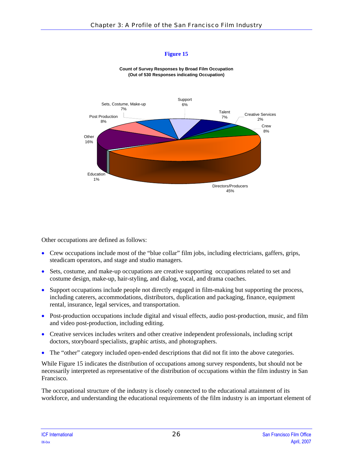<span id="page-31-0"></span>

**Count of Survey Responses by Broad Film Occupation (Out of 530 Responses indicating Occupation)**

Other occupations are defined as follows:

- Crew occupations include most of the "blue collar" film jobs, including electricians, gaffers, grips, steadicam operators, and stage and studio managers.
- Sets, costume, and make-up occupations are creative supporting occupations related to set and costume design, make-up, hair-styling, and dialog, vocal, and drama coaches.
- Support occupations include people not directly engaged in film-making but supporting the process, including caterers, accommodations, distributors, duplication and packaging, finance, equipment rental, insurance, legal services, and transportation.
- Post-production occupations include digital and visual effects, audio post-production, music, and film and video post-production, including editing.
- Creative services includes writers and other creative independent professionals, including script doctors, storyboard specialists, graphic artists, and photographers.
- The "other" category included open-ended descriptions that did not fit into the above categories.

While [Figure 15](#page-31-0) indicates the distribution of occupations among survey respondents, but should not be necessarily interpreted as representative of the distribution of occupations within the film industry in San Francisco.

The occupational structure of the industry is closely connected to the educational attainment of its workforce, and understanding the educational requirements of the film industry is an important element of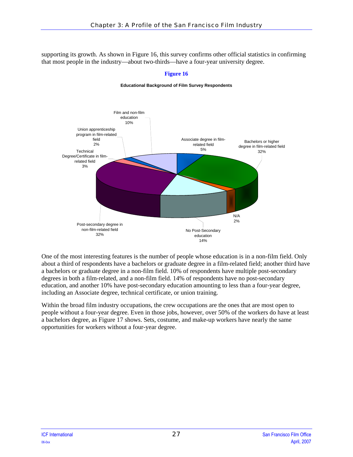<span id="page-32-0"></span>supporting its growth. As shown in [Figure 16,](#page-32-0) this survey confirms other official statistics in confirming that most people in the industry—about two-thirds—have a four-year university degree.



#### **Figure 16**

#### **Educational Background of Film Survey Respondents**

One of the most interesting features is the number of people whose education is in a non-film field. Only about a third of respondents have a bachelors or graduate degree in a film-related field; another third have a bachelors or graduate degree in a non-film field. 10% of respondents have multiple post-secondary degrees in both a film-related, and a non-film field. 14% of respondents have no post-secondary education, and another 10% have post-secondary education amounting to less than a four-year degree, including an Associate degree, technical certificate, or union training.

Within the broad film industry occupations, the crew occupations are the ones that are most open to people without a four-year degree. Even in those jobs, however, over 50% of the workers do have at least a bachelors degree, as [Figure 17](#page-33-0) shows. Sets, costume, and make-up workers have nearly the same opportunities for workers without a four-year degree.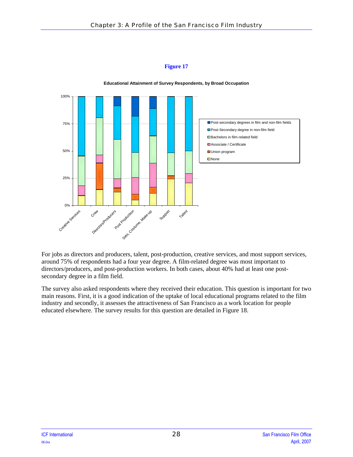<span id="page-33-0"></span>

**Educational Attainment of Survey Respondents, by Broad Occupation**

For jobs as directors and producers, talent, post-production, creative services, and most support services, around 75% of respondents had a four year degree. A film-related degree was most important to directors/producers, and post-production workers. In both cases, about 40% had at least one postsecondary degree in a film field.

The survey also asked respondents where they received their education. This question is important for two main reasons. First, it is a good indication of the uptake of local educational programs related to the film industry and secondly, it assesses the attractiveness of San Francisco as a work location for people educated elsewhere. The survey results for this question are detailed in [Figure 18](#page-34-1).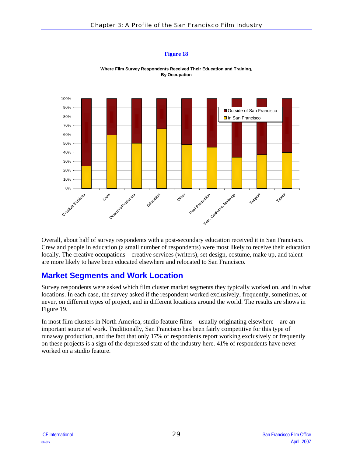<span id="page-34-1"></span><span id="page-34-0"></span>

**Where Film Survey Respondents Received Their Education and Training, By Occupation**

Overall, about half of survey respondents with a post-secondary education received it in San Francisco. Crew and people in education (a small number of respondents) were most likely to receive their education locally. The creative occupations—creative services (writers), set design, costume, make up, and talent are more likely to have been educated elsewhere and relocated to San Francisco.

### **Market Segments and Work Location**

Survey respondents were asked which film cluster market segments they typically worked on, and in what locations. In each case, the survey asked if the respondent worked exclusively, frequently, sometimes, or never, on different types of project, and in different locations around the world. The results are shows in [Figure 19.](#page-35-0)

In most film clusters in North America, studio feature films—usually originating elsewhere—are an important source of work. Traditionally, San Francisco has been fairly competitive for this type of runaway production, and the fact that only 17% of respondents report working exclusively or frequently on these projects is a sign of the depressed state of the industry here. 41% of respondents have never worked on a studio feature.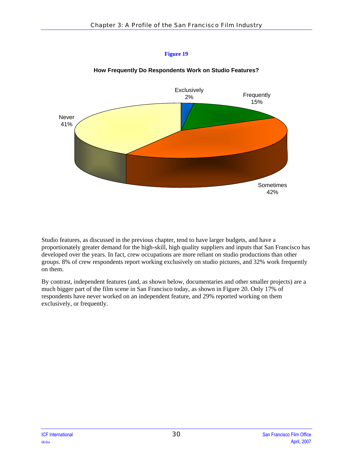<span id="page-35-0"></span>

### **How Frequently Do Respondents Work on Studio Features?**

**Figure 19** 

Studio features, as discussed in the previous chapter, tend to have larger budgets, and have a proportionately greater demand for the high-skill, high quality suppliers and inputs that San Francisco has developed over the years. In fact, crew occupations are more reliant on studio productions than other groups. 8% of crew respondents report working exclusively on studio pictures, and 32% work frequently on them.

By contrast, independent features (and, as shown below, documentaries and other smaller projects) are a much bigger part of the film scene in San Francisco today, as shown in [Figure 20](#page-36-0). Only 17% of respondents have never worked on an independent feature, and 29% reported working on them exclusively, or frequently.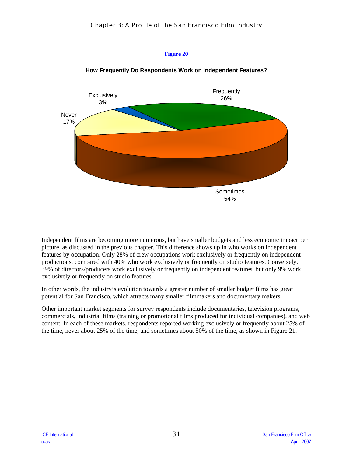

#### **How Frequently Do Respondents Work on Independent Features?**

Independent films are becoming more numerous, but have smaller budgets and less economic impact per picture, as discussed in the previous chapter. This difference shows up in who works on independent features by occupation. Only 28% of crew occupations work exclusively or frequently on independent productions, compared with 40% who work exclusively or frequently on studio features. Conversely, 39% of directors/producers work exclusively or frequently on independent features, but only 9% work exclusively or frequently on studio features.

In other words, the industry's evolution towards a greater number of smaller budget films has great potential for San Francisco, which attracts many smaller filmmakers and documentary makers.

Other important market segments for survey respondents include documentaries, television programs, commercials, industrial films (training or promotional films produced for individual companies), and web content. In each of these markets, respondents reported working exclusively or frequently about 25% of the time, never about 25% of the time, and sometimes about 50% of the time, as shown in [Figure 21](#page-37-0).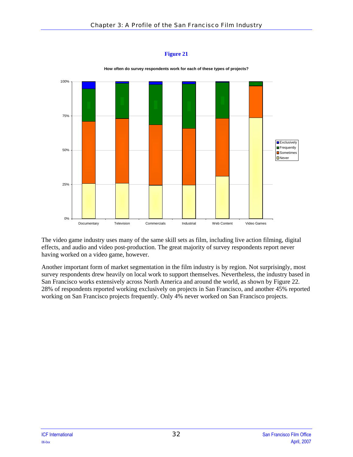<span id="page-37-0"></span>

**How often do survey respondents work for each of these types of projects?**

The video game industry uses many of the same skill sets as film, including live action filming, digital effects, and audio and video post-production. The great majority of survey respondents report never having worked on a video game, however.

Another important form of market segmentation in the film industry is by region. Not surprisingly, most survey respondents drew heavily on local work to support themselves. Nevertheless, the industry based in San Francisco works extensively across North America and around the world, as shown by [Figure 22](#page-38-0). 28% of respondents reported working exclusively on projects in San Francisco, and another 45% reported working on San Francisco projects frequently. Only 4% never worked on San Francisco projects.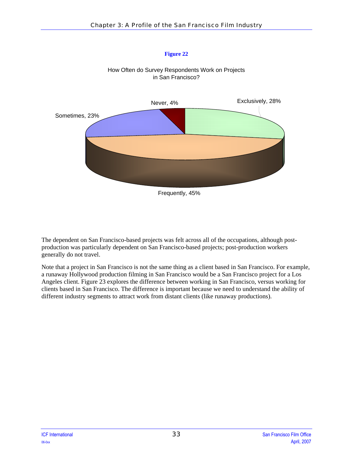<span id="page-38-0"></span>

How Often do Survey Respondents Work on Projects in San Francisco?

The dependent on San Francisco-based projects was felt across all of the occupations, although postproduction was particularly dependent on San Francisco-based projects; post-production workers generally do not travel.

Note that a project in San Francisco is not the same thing as a client based in San Francisco. For example, a runaway Hollywood production filming in San Francisco would be a San Francisco project for a Los Angeles client. [Figure 23](#page-39-0) explores the difference between working in San Francisco, versus working for clients based in San Francisco. The difference is important because we need to understand the ability of different industry segments to attract work from distant clients (like runaway productions).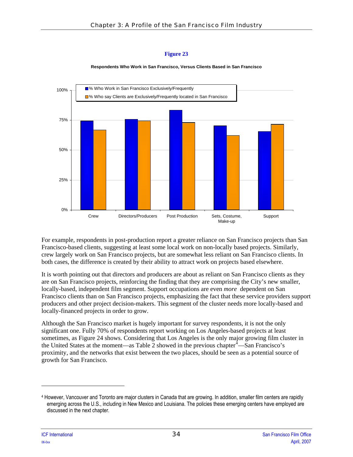#### **Respondents Who Work in San Francisco, Versus Clients Based in San Francisco**

<span id="page-39-0"></span>

For example, respondents in post-production report a greater reliance on San Francisco projects than San Francisco-based clients, suggesting at least some local work on non-locally based projects. Similarly, crew largely work on San Francisco projects, but are somewhat less reliant on San Francisco clients. In both cases, the difference is created by their ability to attract work on projects based elsewhere.

It is worth pointing out that directors and producers are about as reliant on San Francisco clients as they are on San Francisco projects, reinforcing the finding that they are comprising the City's new smaller, locally-based, independent film segment. Support occupations are even *more* dependent on San Francisco clients than on San Francisco projects, emphasizing the fact that these service providers support producers and other project decision-makers. This segment of the cluster needs more locally-based and locally-financed projects in order to grow.

Although the San Francisco market is hugely important for survey respondents, it is not the only significant one. Fully 70% of respondents report working on Los Angeles-based projects at least sometimes, as [Figure 24](#page-40-0) shows. Considering that Los Angeles is the only major growing film cluster in the United States at the moment—as [Table 2](#page-27-0) showed in the previous chapter  $\frac{4}{1}$  $\frac{4}{1}$  $\frac{4}{1}$ —San Francisco's proximity, and the networks that exist between the two places, should be seen as a potential source of growth for San Francisco.

 $\overline{\phantom{a}}$ 

<span id="page-39-1"></span><sup>4</sup> However, Vancouver and Toronto are major clusters in Canada that are growing. In addition, smaller film centers are rapidly emerging across the U.S., including in New Mexico and Louisiana. The policies these emerging centers have employed are discussed in the next chapter.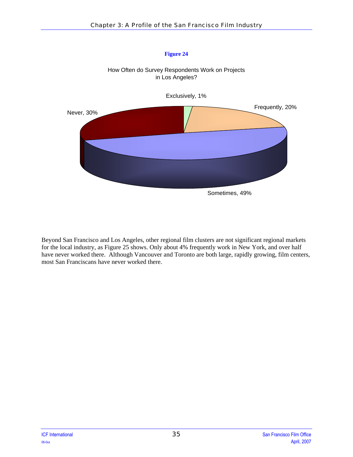<span id="page-40-0"></span>

How Often do Survey Respondents Work on Projects

Beyond San Francisco and Los Angeles, other regional film clusters are not significant regional markets for the local industry, as [Figure 25](#page-41-0) shows. Only about 4% frequently work in New York, and over half have never worked there. Although Vancouver and Toronto are both large, rapidly growing, film centers, most San Franciscans have never worked there.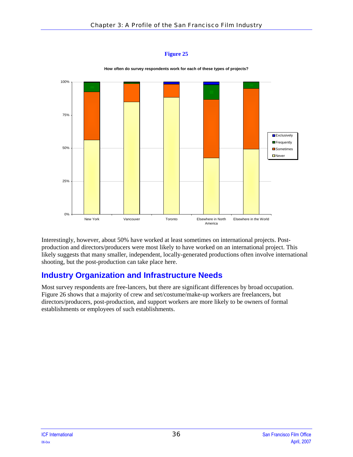<span id="page-41-0"></span>

**How often do survey respondents work for each of these types of projects?**

Interestingly, however, about 50% have worked at least sometimes on international projects. Postproduction and directors/producers were most likely to have worked on an international project. This likely suggests that many smaller, independent, locally-generated productions often involve international shooting, but the post-production can take place here.

# **Industry Organization and Infrastructure Needs**

Most survey respondents are free-lancers, but there are significant differences by broad occupation. [Figure 26](#page-42-0) shows that a majority of crew and set/costume/make-up workers are freelancers, but directors/producers, post-production, and support workers are more likely to be owners of formal establishments or employees of such establishments.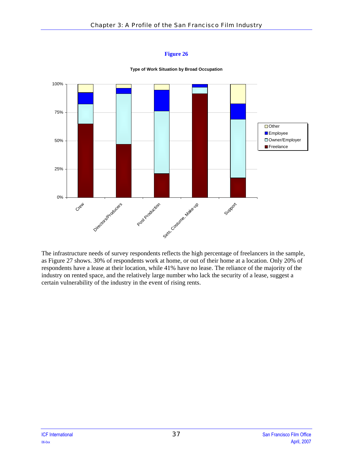<span id="page-42-0"></span>

**Type of Work Situation by Broad Occupation**

The infrastructure needs of survey respondents reflects the high percentage of freelancers in the sample, as [Figure 27](#page-43-0) shows. 30% of respondents work at home, or out of their home at a location. Only 20% of respondents have a lease at their location, while 41% have no lease. The reliance of the majority of the industry on rented space, and the relatively large number who lack the security of a lease, suggest a certain vulnerability of the industry in the event of rising rents.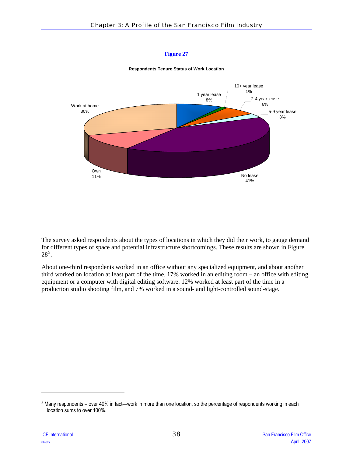

<span id="page-43-0"></span>

The survey asked respondents about the types of locations in which they did their work, to gauge demand for different types of space and potential infrastructure shortcomings. These results are shown in [Figure](#page-44-0)   $28^5$  $28^5$  $28^5$ .

About one-third respondents worked in an office without any specialized equipment, and about another third worked on location at least part of the time. 17% worked in an editing room – an office with editing equipment or a computer with digital editing software. 12% worked at least part of the time in a production studio shooting film, and 7% worked in a sound- and light-controlled sound-stage.

1

<span id="page-43-1"></span><sup>5</sup> Many respondents – over 40% in fact—work in more than one location, so the percentage of respondents working in each location sums to over 100%.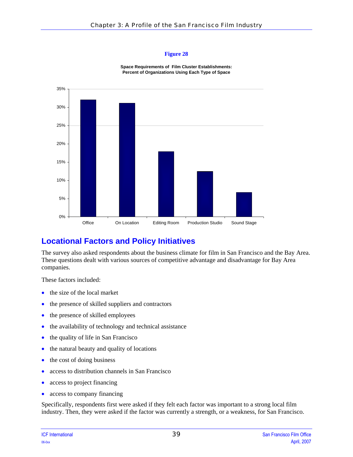**Space Requirements of Film Cluster Establishments: Percent of Organizations Using Each Type of Space**

<span id="page-44-0"></span>

# **Locational Factors and Policy Initiatives**

The survey also asked respondents about the business climate for film in San Francisco and the Bay Area. These questions dealt with various sources of competitive advantage and disadvantage for Bay Area companies.

These factors included:

- the size of the local market
- the presence of skilled suppliers and contractors
- the presence of skilled employees
- the availability of technology and technical assistance
- the quality of life in San Francisco
- the natural beauty and quality of locations
- the cost of doing business
- access to distribution channels in San Francisco
- access to project financing
- access to company financing

Specifically, respondents first were asked if they felt each factor was important to a strong local film industry. Then, they were asked if the factor was currently a strength, or a weakness, for San Francisco.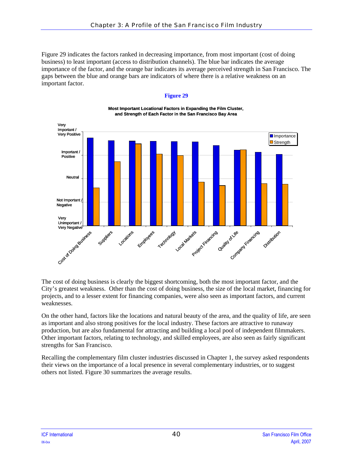[Figure 29](#page-45-0) indicates the factors ranked in decreasing importance, from most important (cost of doing business) to least important (access to distribution channels). The blue bar indicates the average importance of the factor, and the orange bar indicates its average perceived strength in San Francisco. The gaps between the blue and orange bars are indicators of where there is a relative weakness on an important factor.

#### **Figure 29**

<span id="page-45-0"></span>

#### **Most Important Locational Factors in Expanding the Film Cluster, Cluster,and Strength of Each Factor in the San Francisco Bay Area**

The cost of doing business is clearly the biggest shortcoming, both the most important factor, and the City's greatest weakness. Other than the cost of doing business, the size of the local market, financing for projects, and to a lesser extent for financing companies, were also seen as important factors, and current weaknesses.

On the other hand, factors like the locations and natural beauty of the area, and the quality of life, are seen as important and also strong positives for the local industry. These factors are attractive to runaway production, but are also fundamental for attracting and building a local pool of independent filmmakers. Other important factors, relating to technology, and skilled employees, are also seen as fairly significant strengths for San Francisco.

Recalling the complementary film cluster industries discussed in Chapter 1, the survey asked respondents their views on the importance of a local presence in several complementary industries, or to suggest others not listed. [Figure 30](#page-46-0) summarizes the average results.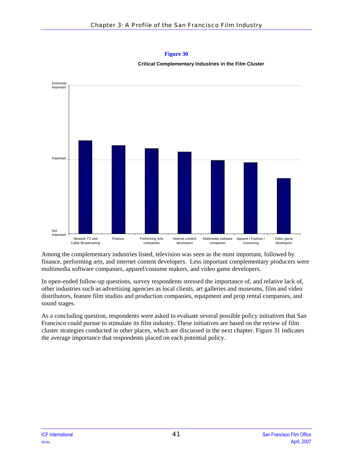

<span id="page-46-0"></span>

Among the complementary industries listed, television was seen as the most important, followed by finance, performing arts, and internet content developers. Less important complementary producers were multimedia software companies, apparel/costume makers, and video game developers.

In open-ended follow-up questions, survey respondents stressed the importance of, and relative lack of, other industries such as advertising agencies as local clients, art galleries and museums, film and video distributors, feature film studios and production companies, equipment and prop rental companies, and sound stages.

As a concluding question, respondents were asked to evaluate several possible policy initiatives that San Francisco could pursue to stimulate its film industry. These initiatives are based on the review of film cluster strategies conducted in other places, which are discussed in the next chapter. [Figure 31](#page-47-0) indicates the average importance that respondents placed on each potential policy.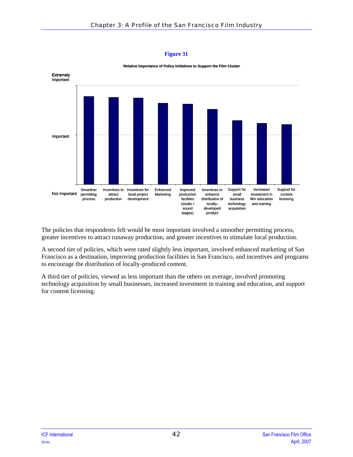<span id="page-47-0"></span>

**Relative Importance of Policy Initiatives to Support the Film Cluster**

The policies that respondents felt would be most important involved a smoother permitting process, greater incentives to attract runaway production, and greater incentives to stimulate local production.

A second tier of policies, which were rated slightly less important, involved enhanced marketing of San Francisco as a destination, improving production facilities in San Francisco, and incentives and programs to encourage the distribution of locally-produced content.

A third tier of policies, viewed as less important than the others on average, involved promoting technology acquisition by small businesses, increased investment in training and education, and support for content licensing.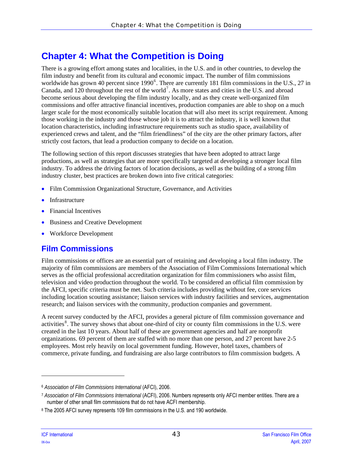# **Chapter 4: What the Competition is Doing**

There is a growing effort among states and localities, in the U.S. and in other countries, to develop the film industry and benefit from its cultural and economic impact. The number of film commissions worldwide has grown 40 percent since 1990<sup>[6](#page-48-0)</sup>. There are currently 181 film commissions in the U.S., 27 in Canada, and 120 throughout the rest of the world<sup>[7](#page-48-1)</sup>. As more states and cities in the U.S. and abroad become serious about developing the film industry locally, and as they create well-organized film commissions and offer attractive financial incentives, production companies are able to shop on a much larger scale for the most economically suitable location that will also meet its script requirement. Among those working in the industry and those whose job it is to attract the industry, it is well known that location characteristics, including infrastructure requirements such as studio space, availability of experienced crews and talent, and the "film friendliness" of the city are the other primary factors, after strictly cost factors, that lead a production company to decide on a location.

The following section of this report discusses strategies that have been adopted to attract large productions, as well as strategies that are more specifically targeted at developing a stronger local film industry. To address the driving factors of location decisions, as well as the building of a strong film industry cluster, best practices are broken down into five critical categories:

- Film Commission Organizational Structure, Governance, and Activities
- **Infrastructure**
- Financial Incentives
- Business and Creative Development
- Workforce Development

# **Film Commissions**

Film commissions or offices are an essential part of retaining and developing a local film industry. The majority of film commissions are members of the Association of Film Commissions International which serves as the official professional accreditation organization for film commissioners who assist film, television and video production throughout the world. To be considered an official film commission by the AFCI, specific criteria must be met. Such criteria includes providing without fee, core services including location scouting assistance; liaison services with industry facilities and services, augmentation research; and liaison services with the community, production companies and government.

A recent survey conducted by the AFCI, provides a general picture of film commission governance and activities<sup>[8](#page-48-2)</sup>. The survey shows that about one-third of city or county film commissions in the U.S. were created in the last 10 years. About half of these are government agencies and half are nonprofit organizations. 69 percent of them are staffed with no more than one person, and 27 percent have 2-5 employees. Most rely heavily on local government funding. However, hotel taxes, chambers of commerce, private funding, and fundraising are also large contributors to film commission budgets. A

1

<span id="page-48-0"></span><sup>6</sup> *Association of Film Commissions International* (AFCI), 2006.

<span id="page-48-1"></span><sup>7</sup> *Association of Film Commissions International* (ACFI), 2006. Numbers represents only AFCI member entities. There are a number of other small film commissions that do not have ACFI membership.

<span id="page-48-2"></span><sup>8</sup> The 2005 AFCI survey represents 109 film commissions in the U.S. and 190 worldwide.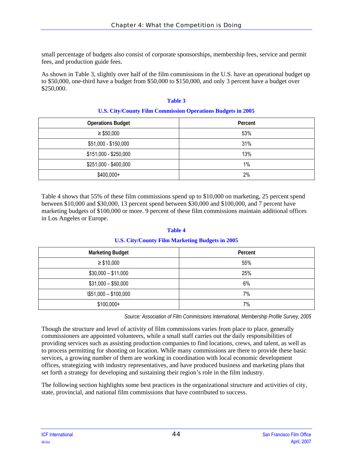small percentage of budgets also consist of corporate sponsorships, membership fees, service and permit fees, and production guide fees.

As shown in [Table 3](#page-49-0), slightly over half of the film commissions in the U.S. have an operational budget up to \$50,000, one-third have a budget from \$50,000 to \$150,000, and only 3 percent have a budget over \$250,000.

#### **Table 3**

#### **U.S. City/County Film Commission Operations Budgets in 2005**

<span id="page-49-0"></span>

| <b>Operations Budget</b> | Percent |
|--------------------------|---------|
| $\geq$ \$50,000          | 53%     |
| \$51,000 - \$150,000     | 31%     |
| \$151,000 - \$250,000    | 13%     |
| \$251,000 - \$400,000    | 1%      |
| $$400,000+$              | 2%      |

[Table 4](#page-49-1) shows that 55% of these film commissions spend up to \$10,000 on marketing, 25 percent spend between \$10,000 and \$30,000, 13 percent spend between \$30,000 and \$100,000, and 7 percent have marketing budgets of \$100,000 or more. 9 percent of these film commissions maintain additional offices in Los Angeles or Europe.

#### **Table 4**

#### **U.S. City/County Film Marketing Budgets in 2005**

<span id="page-49-1"></span>

| <b>Marketing Budget</b>       | Percent |
|-------------------------------|---------|
| $\geq$ \$10,000               | 55%     |
| $$30,000 - $11,000$           | 25%     |
| $$31,000 - $50,000$           | 6%      |
| $\frac{$51,000 - $100,000}{}$ | 7%      |
| $$100,000+$                   | 7%      |

*Source: Association of Film Commissions International, Membership Profile Survey, 2005*

Though the structure and level of activity of film commissions varies from place to place, generally commissioners are appointed volunteers, while a small staff carries out the daily responsibilities of providing services such as assisting production companies to find locations, crews, and talent, as well as to process permitting for shooting on location. While many commissions are there to provide these basic services, a growing number of them are working in coordination with local economic development offices, strategizing with industry representatives, and have produced business and marketing plans that set forth a strategy for developing and sustaining their region's role in the film industry.

The following section highlights some best practices in the organizational structure and activities of city, state, provincial, and national film commissions that have contributed to success.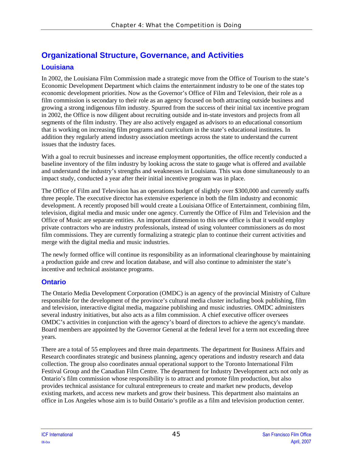# **Organizational Structure, Governance, and Activities Louisiana**

In 2002, the Louisiana Film Commission made a strategic move from the Office of Tourism to the state's Economic Development Department which claims the entertainment industry to be one of the states top economic development priorities. Now as the Governor's Office of Film and Television, their role as a film commission is secondary to their role as an agency focused on both attracting outside business and growing a strong indigenous film industry. Spurred from the success of their initial tax incentive program in 2002, the Office is now diligent about recruiting outside and in-state investors and projects from all segments of the film industry. They are also actively engaged as advisors to an educational consortium that is working on increasing film programs and curriculum in the state's educational institutes. In addition they regularly attend industry association meetings across the state to understand the current issues that the industry faces.

With a goal to recruit businesses and increase employment opportunities, the office recently conducted a baseline inventory of the film industry by looking across the state to gauge what is offered and available and understand the industry's strengths and weaknesses in Louisiana. This was done simultaneously to an impact study, conducted a year after their initial incentive program was in place.

The Office of Film and Television has an operations budget of slightly over \$300,000 and currently staffs three people. The executive director has extensive experience in both the film industry and economic development. A recently proposed bill would create a Louisiana Office of Entertainment, combining film, television, digital media and music under one agency. Currently the Office of Film and Television and the Office of Music are separate entities. An important dimension to this new office is that it would employ private contractors who are industry professionals, instead of using volunteer commissioners as do most film commissions. They are currently formalizing a strategic plan to continue their current activities and merge with the digital media and music industries.

The newly formed office will continue its responsibility as an informational clearinghouse by maintaining a production guide and crew and location database, and will also continue to administer the state's incentive and technical assistance programs.

### **Ontario**

The Ontario Media Development Corporation (OMDC) is an agency of the provincial Ministry of Culture responsible for the development of the province's cultural media cluster including book publishing, film and television, interactive digital media, magazine publishing and music industries. OMDC administers several industry initiatives, but also acts as a film commission. A chief executive officer oversees OMDC's activities in conjunction with the agency's board of directors to achieve the agency's mandate. Board members are appointed by the Governor General at the federal level for a term not exceeding three years.

There are a total of 55 employees and three main departments. The department for Business Affairs and Research coordinates strategic and business planning, agency operations and industry research and data collection. The group also coordinates annual operational support to the Toronto International Film Festival Group and the Canadian Film Centre. The department for Industry Development acts not only as Ontario's film commission whose responsibility is to attract and promote film production, but also provides technical assistance for cultural entrepreneurs to create and market new products, develop existing markets, and access new markets and grow their business. This department also maintains an office in Los Angeles whose aim is to build Ontario's profile as a film and television production center.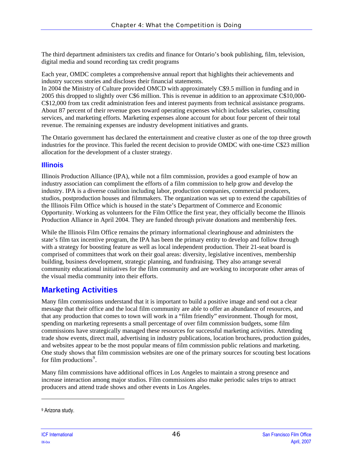The third department administers tax credits and finance for Ontario's book publishing, film, television, digital media and sound recording tax credit programs

Each year, OMDC completes a comprehensive annual report that highlights their achievements and industry success stories and discloses their financial statements.

In 2004 the Ministry of Culture provided OMCD with approximately C\$9.5 million in funding and in 2005 this dropped to slightly over C\$6 million. This is revenue in addition to an approximate C\$10,000- C\$12,000 from tax credit administration fees and interest payments from technical assistance programs. About 87 percent of their revenue goes toward operating expenses which includes salaries, consulting services, and marketing efforts. Marketing expenses alone account for about four percent of their total revenue. The remaining expenses are industry development initiatives and grants.

The Ontario government has declared the entertainment and creative cluster as one of the top three growth industries for the province. This fueled the recent decision to provide OMDC with one-time C\$23 million allocation for the development of a cluster strategy.

### **Illinois**

Illinois Production Alliance (IPA), while not a film commission, provides a good example of how an industry association can compliment the efforts of a film commission to help grow and develop the industry. IPA is a diverse coalition including labor, production companies, commercial producers, studios, postproduction houses and filmmakers. The organization was set up to extend the capabilities of the Illinois Film Office which is housed in the state's Department of Commerce and Economic Opportunity. Working as volunteers for the Film Office the first year, they officially become the Illinois Production Alliance in April 2004. They are funded through private donations and membership fees.

While the Illinois Film Office remains the primary informational clearinghouse and administers the state's film tax incentive program, the IPA has been the primary entity to develop and follow through with a strategy for boosting feature as well as local independent production. Their 21-seat board is comprised of committees that work on their goal areas: diversity, legislative incentives, membership building, business development, strategic planning, and fundraising. They also arrange several community educational initiatives for the film community and are working to incorporate other areas of the visual media community into their efforts.

# **Marketing Activities**

Many film commissions understand that it is important to build a positive image and send out a clear message that their office and the local film community are able to offer an abundance of resources, and that any production that comes to town will work in a "film friendly" environment. Though for most, spending on marketing represents a small percentage of over film commission budgets, some film commissions have strategically managed these resources for successful marketing activities. Attending trade show events, direct mail, advertising in industry publications, location brochures, production guides, and websites appear to be the most popular means of film commission public relations and marketing. One study shows that film commission websites are one of the primary sources for scouting best locations for film productions $9$ .

Many film commissions have additional offices in Los Angeles to maintain a strong presence and increase interaction among major studios. Film commissions also make periodic sales trips to attract producers and attend trade shows and other events in Los Angeles.

l

<span id="page-51-0"></span><sup>9</sup> Arizona study.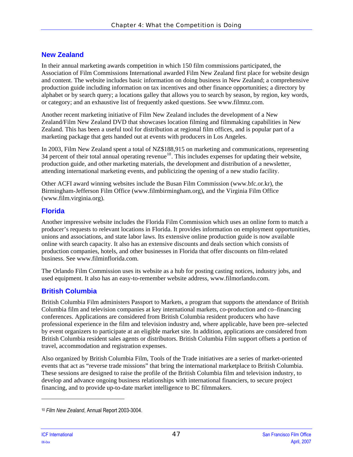# **New Zealand**

In their annual marketing awards competition in which 150 film commissions participated, the Association of Film Commissions International awarded Film New Zealand first place for website design and content. The website includes basic information on doing business in New Zealand; a comprehensive production guide including information on tax incentives and other finance opportunities; a directory by alphabet or by search query; a locations galley that allows you to search by season, by region, key words, or category; and an exhaustive list of frequently asked questions. See www.filmnz.com.

Another recent marketing initiative of Film New Zealand includes the development of a New Zealand/Film New Zealand DVD that showcases location filming and filmmaking capabilities in New Zealand. This has been a useful tool for distribution at regional film offices, and is popular part of a marketing package that gets handed out at events with producers in Los Angeles.

In 2003, Film New Zealand spent a total of NZ\$188,915 on marketing and communications, representing 34 percent of their total annual operating revenue<sup>[10](#page-52-0)</sup>. This includes expenses for updating their website, production guide, and other marketing materials, the development and distribution of a newsletter, attending international marketing events, and publicizing the opening of a new studio facility.

Other ACFI award winning websites include the Busan Film Commission (www.bfc.or.kr), the Birmingham-Jefferson Film Office (www.filmbirmingham.org), and the Virginia Film Office (www.film.virginia.org).

## **Florida**

Another impressive website includes the Florida Film Commission which uses an online form to match a producer's requests to relevant locations in Florida. It provides information on employment opportunities, unions and associations, and state labor laws. Its extensive online production guide is now available online with search capacity. It also has an extensive discounts and deals section which consists of production companies, hotels, and other businesses in Florida that offer discounts on film-related business. See www.filminflorida.com.

The Orlando Film Commission uses its website as a hub for posting casting notices, industry jobs, and used equipment. It also has an easy-to-remember website address, www.filmorlando.com.

# **British Columbia**

British Columbia Film administers Passport to Markets, a program that supports the attendance of British Columbia film and television companies at key international markets, co-production and co–financing conferences. Applications are considered from British Columbia resident producers who have professional experience in the film and television industry and, where applicable, have been pre–selected by event organizers to participate at an eligible market site. In addition, applications are considered from British Columbia resident sales agents or distributors. British Columbia Film support offsets a portion of travel, accommodation and registration expenses.

Also organized by British Columbia Film, Tools of the Trade initiatives are a series of market-oriented events that act as "reverse trade missions" that bring the international marketplace to British Columbia. These sessions are designed to raise the profile of the British Columbia film and television industry, to develop and advance ongoing business relationships with international financiers, to secure project financing, and to provide up-to-date market intelligence to BC filmmakers.

l

<span id="page-52-0"></span><sup>10</sup> *Film New Zealand*, Annual Report 2003-3004.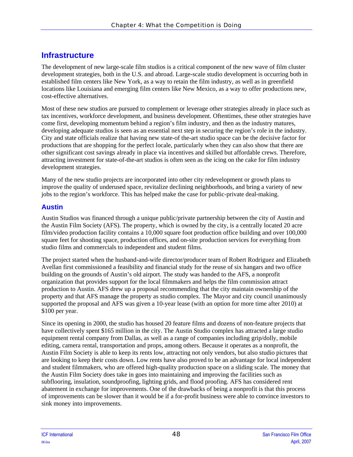# **Infrastructure**

The development of new large-scale film studios is a critical component of the new wave of film cluster development strategies, both in the U.S. and abroad. Large-scale studio development is occurring both in established film centers like New York, as a way to retain the film industry, as well as in greenfield locations like Louisiana and emerging film centers like New Mexico, as a way to offer productions new, cost-effective alternatives.

Most of these new studios are pursued to complement or leverage other strategies already in place such as tax incentives, workforce development, and business development. Oftentimes, these other strategies have come first, developing momentum behind a region's film industry, and then as the industry matures, developing adequate studios is seen as an essential next step in securing the region's role in the industry. City and state officials realize that having new state-of the-art studio space can be the decisive factor for productions that are shopping for the perfect locale, particularly when they can also show that there are other significant cost savings already in place via incentives and skilled but affordable crews. Therefore, attracting investment for state-of-the-art studios is often seen as the icing on the cake for film industry development strategies.

Many of the new studio projects are incorporated into other city redevelopment or growth plans to improve the quality of underused space, revitalize declining neighborhoods, and bring a variety of new jobs to the region's workforce. This has helped make the case for public-private deal-making.

## **Austin**

Austin Studios was financed through a unique public/private partnership between the city of Austin and the Austin Film Society (AFS). The property, which is owned by the city, is a centrally located 20 acre film/video production facility contains a 10,000 square foot production office building and over 100,000 square feet for shooting space, production offices, and on-site production services for everything from studio films and commercials to independent and student films.

The project started when the husband-and-wife director/producer team of Robert Rodriguez and Elizabeth Avellan first commissioned a feasibility and financial study for the reuse of six hangars and two office building on the grounds of Austin's old airport. The study was handed to the AFS, a nonprofit organization that provides support for the local filmmakers and helps the film commission attract production to Austin. AFS drew up a proposal recommending that the city maintain ownership of the property and that AFS manage the property as studio complex. The Mayor and city council unanimously supported the proposal and AFS was given a 10-year lease (with an option for more time after 2010) at \$100 per year.

Since its opening in 2000, the studio has housed 20 feature films and dozens of non-feature projects that have collectively spent \$165 million in the city. The Austin Studio complex has attracted a large studio equipment rental company from Dallas, as well as a range of companies including grip/dolly, mobile editing, camera rental, transportation and props, among others. Because it operates as a nonprofit, the Austin Film Society is able to keep its rents low, attracting not only vendors, but also studio pictures that are looking to keep their costs down. Low rents have also proved to be an advantage for local independent and student filmmakers, who are offered high-quality production space on a sliding scale. The money that the Austin Film Society does take in goes into maintaining and improving the facilities such as subflooring, insulation, soundproofing, lighting grids, and flood proofing. AFS has considered rent abatement in exchange for improvements. One of the drawbacks of being a nonprofit is that this process of improvements can be slower than it would be if a for-profit business were able to convince investors to sink money into improvements.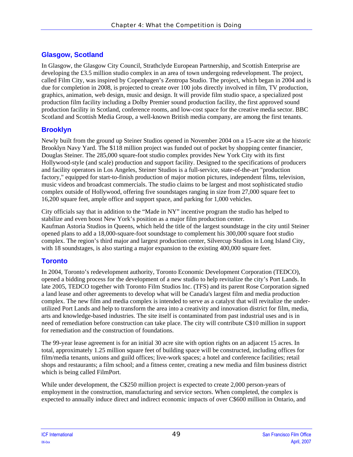# **Glasgow, Scotland**

In Glasgow, the Glasgow City Council, Strathclyde European Partnership, and Scottish Enterprise are developing the £3.5 million studio complex in an area of town undergoing redevelopment. The project, called Film City, was inspired by Copenhagen's Zentropa Studio. The project, which began in 2004 and is due for completion in 2008, is projected to create over 100 jobs directly involved in film, TV production, graphics, animation, web design, music and design. It will provide film studio space, a specialized post production film facility including a Dolby Premier sound production facility, the first approved sound production facility in Scotland, conference rooms, and low-cost space for the creative media sector. BBC Scotland and Scottish Media Group, a well-known British media company, are among the first tenants.

### **Brooklyn**

Newly built from the ground up Steiner Studios opened in November 2004 on a 15-acre site at the historic Brooklyn Navy Yard. The \$118 million project was funded out of pocket by shopping center financier, Douglas Steiner. The 285,000 square-foot studio complex provides New York City with its first Hollywood-style (and scale) production and support facility. Designed to the specifications of producers and facility operators in Los Angeles, Steiner Studios is a full-service, state-of-the-art "production factory," equipped for start-to-finish production of major motion pictures, independent films, television, music videos and broadcast commercials. The studio claims to be largest and most sophisticated studio complex outside of Hollywood, offering five soundstages ranging in size from 27,000 square feet to 16,200 square feet, ample office and support space, and parking for 1,000 vehicles.

City officials say that in addition to the "Made in NY" incentive program the studio has helped to stabilize and even boost New York's position as a major film production center. Kaufman Astoria Studios in Queens, which held the title of the largest soundstage in the city until Steiner opened plans to add a 18,000-square-foot soundstage to complement his 300,000 square foot studio complex. The region's third major and largest production center, Silvercup Studios in Long Island City, with 18 soundstages, is also starting a major expansion to the existing 400,000 square feet.

## **Toronto**

In 2004, Toronto's redevelopment authority, Toronto Economic Development Corporation (TEDCO), opened a bidding process for the development of a new studio to help revitalize the city's Port Lands. In late 2005, TEDCO together with Toronto Film Studios Inc. (TFS) and its parent Rose Corporation signed a land lease and other agreements to develop what will be Canada's largest film and media production complex. The new film and media complex is intended to serve as a catalyst that will revitalize the underutilized Port Lands and help to transform the area into a creativity and innovation district for film, media, arts and knowledge-based industries. The site itself is contaminated from past industrial uses and is in need of remediation before construction can take place. The city will contribute C\$10 million in support for remediation and the construction of foundations.

The 99-year lease agreement is for an initial 30 acre site with option rights on an adjacent 15 acres. In total, approximately 1.25 million square feet of building space will be constructed, including offices for film/media tenants, unions and guild offices; live-work spaces; a hotel and conference facilities; retail shops and restaurants; a film school; and a fitness center, creating a new media and film business district which is being called FilmPort.

While under development, the C\$250 million project is expected to create 2,000 person-years of employment in the construction, manufacturing and service sectors. When completed, the complex is expected to annually induce direct and indirect economic impacts of over C\$600 million in Ontario, and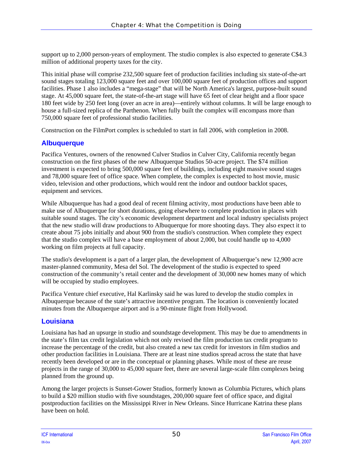support up to 2,000 person-years of employment. The studio complex is also expected to generate C\$4.3 million of additional property taxes for the city.

This initial phase will comprise 232,500 square feet of production facilities including six state-of-the-art sound stages totaling 123,000 square feet and over 100,000 square feet of production offices and support facilities. Phase 1 also includes a "mega-stage" that will be North America's largest, purpose-built sound stage. At 45,000 square feet, the state-of-the-art stage will have 65 feet of clear height and a floor space 180 feet wide by 250 feet long (over an acre in area)—entirely without columns. It will be large enough to house a full-sized replica of the Parthenon. When fully built the complex will encompass more than 750,000 square feet of professional studio facilities.

Construction on the FilmPort complex is scheduled to start in fall 2006, with completion in 2008.

### **Albuquerque**

Pacifica Ventures, owners of the renowned Culver Studios in Culver City, California recently began construction on the first phases of the new Albuquerque Studios 50-acre project. The \$74 million investment is expected to bring 500,000 square feet of buildings, including eight massive sound stages and 78,000 square feet of office space. When complete, the complex is expected to host movie, music video, television and other productions, which would rent the indoor and outdoor backlot spaces, equipment and services.

While Albuquerque has had a good deal of recent filming activity, most productions have been able to make use of Albuquerque for short durations, going elsewhere to complete production in places with suitable sound stages. The city's economic development department and local industry specialists project that the new studio will draw productions to Albuquerque for more shooting days. They also expect it to create about 75 jobs initially and about 900 from the studio's construction. When complete they expect that the studio complex will have a base employment of about 2,000, but could handle up to 4,000 working on film projects at full capacity.

The studio's development is a part of a larger plan, the development of Albuquerque's new 12,900 acre master-planned community, Mesa del Sol. The development of the studio is expected to speed construction of the community's retail center and the development of 30,000 new homes many of which will be occupied by studio employees.

Pacifica Venture chief executive, Hal Karlinsky said he was lured to develop the studio complex in Albuquerque because of the state's attractive incentive program. The location is conveniently located minutes from the Albuquerque airport and is a 90-minute flight from Hollywood.

### **Louisiana**

Louisiana has had an upsurge in studio and soundstage development. This may be due to amendments in the state's film tax credit legislation which not only revised the film production tax credit program to increase the percentage of the credit, but also created a new tax credit for investors in film studios and other production facilities in Louisiana. There are at least nine studios spread across the state that have recently been developed or are in the conceptual or planning phases. While most of these are reuse projects in the range of 30,000 to 45,000 square feet, there are several large-scale film complexes being planned from the ground up.

Among the larger projects is Sunset-Gower Studios, formerly known as Columbia Pictures, which plans to build a \$20 million studio with five soundstages, 200,000 square feet of office space, and digital postproduction facilities on the Mississippi River in New Orleans. Since Hurricane Katrina these plans have been on hold.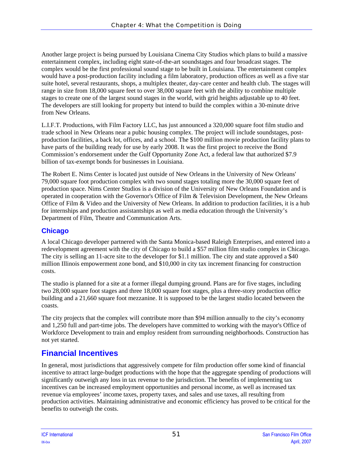Another large project is being pursued by Louisiana Cinema City Studios which plans to build a massive entertainment complex, including eight state-of-the-art soundstages and four broadcast stages. The complex would be the first professional sound stage to be built in Louisiana. The entertainment complex would have a post-production facility including a film laboratory, production offices as well as a five star suite hotel, several restaurants, shops, a multiplex theater, day-care center and health club. The stages will range in size from 18,000 square feet to over 38,000 square feet with the ability to combine multiple stages to create one of the largest sound stages in the world, with grid heights adjustable up to 40 feet. The developers are still looking for property but intend to build the complex within a 30-minute drive from New Orleans.

L.I.F.T. Productions, with Film Factory LLC, has just announced a 320,000 square foot film studio and trade school in New Orleans near a pubic housing complex. The project will include soundstages, postproduction facilities, a back lot, offices, and a school. The \$100 million movie production facility plans to have parts of the building ready for use by early 2008. It was the first project to receive the Bond Commission's endorsement under the Gulf Opportunity Zone Act, a federal law that authorized \$7.9 billion of tax-exempt bonds for businesses in Louisiana.

The Robert E. Nims Center is located just outside of New Orleans in the University of New Orleans' 79,000 square foot production complex with two sound stages totaling more the 30,000 square feet of production space. Nims Center Studios is a division of the University of New Orleans Foundation and is operated in cooperation with the Governor's Office of Film & Television Development, the New Orleans Office of Film & Video and the University of New Orleans. In addition to production facilities, it is a hub for internships and production assistantships as well as media education through the University's Department of Film, Theatre and Communication Arts.

# **Chicago**

A local Chicago developer partnered with the Santa Monica-based Raleigh Enterprises, and entered into a redevelopment agreement with the city of Chicago to build a \$57 million film studio complex in Chicago. The city is selling an 11-acre site to the developer for \$1.1 million. The city and state approved a \$40 million Illinois empowerment zone bond, and \$10,000 in city tax increment financing for construction costs.

The studio is planned for a site at a former illegal dumping ground. Plans are for five stages, including two 28,000 square foot stages and three 18,000 square foot stages, plus a three-story production office building and a 21,660 square foot mezzanine. It is supposed to be the largest studio located between the coasts.

The city projects that the complex will contribute more than \$94 million annually to the city's economy and 1,250 full and part-time jobs. The developers have committed to working with the mayor's Office of Workforce Development to train and employ resident from surrounding neighborhoods. Construction has not yet started.

# **Financial Incentives**

In general, most jurisdictions that aggressively compete for film production offer some kind of financial incentive to attract large-budget productions with the hope that the aggregate spending of productions will significantly outweigh any loss in tax revenue to the jurisdiction. The benefits of implementing tax incentives can be increased employment opportunities and personal income, as well as increased tax revenue via employees' income taxes, property taxes, and sales and use taxes, all resulting from production activities. Maintaining administrative and economic efficiency has proved to be critical for the benefits to outweigh the costs.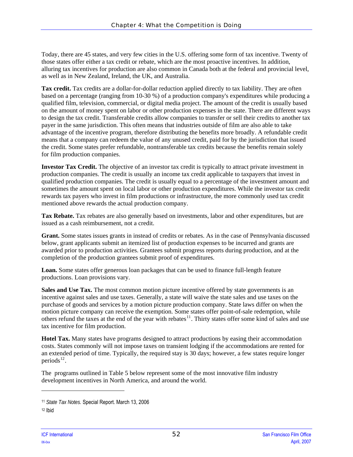Today, there are 45 states, and very few cities in the U.S. offering some form of tax incentive. Twenty of those states offer either a tax credit or rebate, which are the most proactive incentives. In addition, alluring tax incentives for production are also common in Canada both at the federal and provincial level, as well as in New Zealand, Ireland, the UK, and Australia.

**Tax credit.** Tax credits are a dollar-for-dollar reduction applied directly to tax liability. They are often based on a percentage (ranging from 10-30 %) of a production company's expenditures while producing a qualified film, television, commercial, or digital media project. The amount of the credit is usually based on the amount of money spent on labor or other production expenses in the state. There are different ways to design the tax credit. Transferable credits allow companies to transfer or sell their credits to another tax payer in the same jurisdiction. This often means that industries outside of film are also able to take advantage of the incentive program, therefore distributing the benefits more broadly. A refundable credit means that a company can redeem the value of any unused credit, paid for by the jurisdiction that issued the credit. Some states prefer refundable, nontransferable tax credits because the benefits remain solely for film production companies.

**Investor Tax Credit.** The objective of an investor tax credit is typically to attract private investment in production companies. The credit is usually an income tax credit applicable to taxpayers that invest in qualified production companies. The credit is usually equal to a percentage of the investment amount and sometimes the amount spent on local labor or other production expenditures. While the investor tax credit rewards tax payers who invest in film productions or infrastructure, the more commonly used tax credit mentioned above rewards the actual production company.

**Tax Rebate.** Tax rebates are also generally based on investments, labor and other expenditures, but are issued as a cash reimbursement, not a credit.

**Grant.** Some states issues grants in instead of credits or rebates. As in the case of Pennsylvania discussed below, grant applicants submit an itemized list of production expenses to be incurred and grants are awarded prior to production activities. Grantees submit progress reports during production, and at the completion of the production grantees submit proof of expenditures.

**Loan.** Some states offer generous loan packages that can be used to finance full-length feature productions. Loan provisions vary.

**Sales and Use Tax.** The most common motion picture incentive offered by state governments is an incentive against sales and use taxes. Generally, a state will waive the state sales and use taxes on the purchase of goods and services by a motion picture production company. State laws differ on when the motion picture company can receive the exemption. Some states offer point-of-sale redemption, while others refund the taxes at the end of the year with rebates<sup>[11](#page-57-0)</sup>. Thirty states offer some kind of sales and use tax incentive for film production.

**Hotel Tax.** Many states have programs designed to attract productions by easing their accommodation costs. States commonly will not impose taxes on transient lodging if the accommodations are rented for an extended period of time. Typically, the required stay is 30 days; however, a few states require longer periods $^{12}$  $^{12}$  $^{12}$ .

The programs outlined in [Table 5](#page-58-0) below represent some of the most innovative film industry development incentives in North America, and around the world.

l

<span id="page-57-0"></span><sup>11</sup> *State Tax Notes.* Special Report. March 13, 2006

<span id="page-57-1"></span><sup>12</sup> Ibid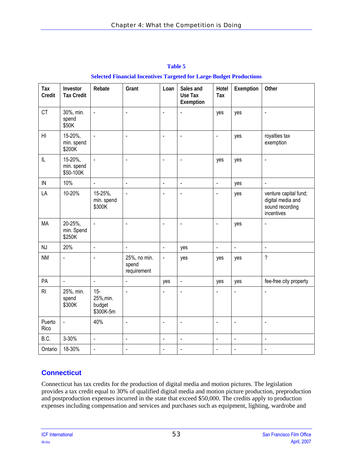<span id="page-58-0"></span>

| Tax<br>Credit  | Investor<br><b>Tax Credit</b>      | Rebate                                     | Grant                                | Loan                     | Sales and<br>Use Tax<br>Exemption | Hotel<br>Tax             | Exemption                | Other                                                                       |
|----------------|------------------------------------|--------------------------------------------|--------------------------------------|--------------------------|-----------------------------------|--------------------------|--------------------------|-----------------------------------------------------------------------------|
| CT             | 30%, min.<br>spend<br>\$50K        | $\Box$                                     | $\blacksquare$                       | ä,                       | $\blacksquare$                    | yes                      | yes                      | $\blacksquare$                                                              |
| H <sub>l</sub> | 15-20%,<br>min. spend<br>\$200K    | $\overline{\phantom{a}}$                   | $\overline{\phantom{a}}$             | $\blacksquare$           | $\blacksquare$                    | $\blacksquare$           | yes                      | royalties tax<br>exemption                                                  |
| L              | 15-20%,<br>min. spend<br>\$50-100K | $\blacksquare$                             | $\blacksquare$                       | $\blacksquare$           | $\overline{\phantom{a}}$          | yes                      | yes                      | $\blacksquare$                                                              |
| IN             | 10%                                | $\overline{\phantom{a}}$                   | $\overline{\phantom{a}}$             | $\overline{\phantom{a}}$ | ä,                                | $\blacksquare$           | yes                      | $\Box$                                                                      |
| LA             | 10-20%                             | 15-25%,<br>min. spend<br>\$300K            | $\overline{\phantom{a}}$             | $\blacksquare$           | $\blacksquare$                    | $\blacksquare$           | yes                      | venture capital fund;<br>digital media and<br>sound recording<br>incentives |
| <b>MA</b>      | 20-25%,<br>min. Spend<br>\$250K    | $\blacksquare$                             | $\blacksquare$                       | $\blacksquare$           | $\blacksquare$                    | $\blacksquare$           | yes                      | $\blacksquare$                                                              |
| NJ             | 20%                                | $\Box$                                     | $\overline{\phantom{a}}$             | $\Box$                   | yes                               | $\blacksquare$           | $\overline{\phantom{a}}$ | $\Box$                                                                      |
| <b>NM</b>      | $\blacksquare$                     | $\overline{a}$                             | 25%, no min.<br>spend<br>requirement | $\Box$                   | yes                               | yes                      | yes                      | $\gamma$                                                                    |
| PA             | $\overline{a}$                     | ÷,                                         | $\overline{a}$                       | yes                      | ä,                                | yes                      | yes                      | fee-free city property                                                      |
| RI             | 25%, min.<br>spend<br>\$300K       | $15 -$<br>25%, min.<br>budget<br>\$300K-5m | $\ddot{\phantom{a}}$                 |                          | $\blacksquare$                    | $\blacksquare$           | $\overline{a}$           | $\blacksquare$                                                              |
| Puerto<br>Rico | $\frac{1}{2}$                      | 40%                                        | $\blacksquare$                       | $\blacksquare$           | ÷,                                | $\blacksquare$           | $\overline{a}$           | $\blacksquare$                                                              |
| B.C.           | 3-30%                              | ä,                                         | $\ddot{\phantom{a}}$                 | ä,                       | ÷,                                | $\overline{\phantom{a}}$ | ä,                       | $\overline{\phantom{a}}$                                                    |
| Ontario        | 18-30%                             | ä,                                         | $\blacksquare$                       | $\blacksquare$           | $\blacksquare$                    | $\blacksquare$           | $\blacksquare$           | $\overline{\phantom{a}}$                                                    |

| <b>Table 5</b>                                                             |  |  |  |  |  |  |
|----------------------------------------------------------------------------|--|--|--|--|--|--|
| <b>Selected Financial Incentives Targeted for Large-Budget Productions</b> |  |  |  |  |  |  |

# **Connecticut**

Connecticut has tax credits for the production of digital media and motion pictures. The legislation provides a tax credit equal to 30% of qualified digital media and motion picture production, preproduction and postproduction expenses incurred in the state that exceed \$50,000. The credits apply to production expenses including compensation and services and purchases such as equipment, lighting, wardrobe and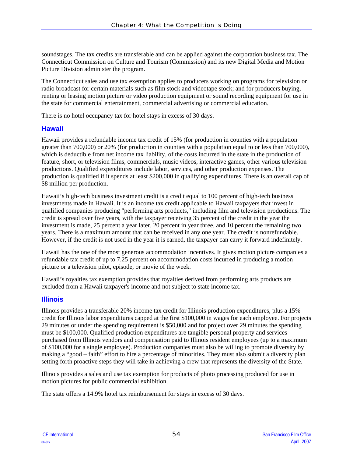soundstages. The tax credits are transferable and can be applied against the corporation business tax. The Connecticut Commission on Culture and Tourism (Commission) and its new Digital Media and Motion Picture Division administer the program.

The Connecticut sales and use tax exemption applies to producers working on programs for television or radio broadcast for certain materials such as film stock and videotape stock; and for producers buying, renting or leasing motion picture or video production equipment or sound recording equipment for use in the state for commercial entertainment, commercial advertising or commercial education.

There is no hotel occupancy tax for hotel stays in excess of 30 days.

#### **Hawaii**

Hawaii provides a refundable income tax credit of 15% (for production in counties with a population greater than 700,000) or 20% (for production in counties with a population equal to or less than 700,000), which is deductible from net income tax liability, of the costs incurred in the state in the production of feature, short, or television films, commercials, music videos, interactive games, other various television productions. Qualified expenditures include labor, services, and other production expenses. The production is qualified if it spends at least \$200,000 in qualifying expenditures. There is an overall cap of \$8 million per production.

Hawaii's high-tech business investment credit is a credit equal to 100 percent of high-tech business investments made in Hawaii. It is an income tax credit applicable to Hawaii taxpayers that invest in qualified companies producing "performing arts products," including film and television productions. The credit is spread over five years, with the taxpayer receiving 35 percent of the credit in the year the investment is made, 25 percent a year later, 20 percent in year three, and 10 percent the remaining two years. There is a maximum amount that can be received in any one year. The credit is nonrefundable. However, if the credit is not used in the year it is earned, the taxpayer can carry it forward indefinitely.

Hawaii has the one of the most generous accommodation incentives. It gives motion picture companies a refundable tax credit of up to 7.25 percent on accommodation costs incurred in producing a motion picture or a television pilot, episode, or movie of the week.

Hawaii's royalties tax exemption provides that royalties derived from performing arts products are excluded from a Hawaii taxpayer's income and not subject to state income tax.

### **Illinois**

Illinois provides a transferable 20% income tax credit for Illinois production expenditures, plus a 15% credit for Illinois labor expenditures capped at the first \$100,000 in wages for each employee. For projects 29 minutes or under the spending requirement is \$50,000 and for project over 29 minutes the spending must be \$100,000. Qualified production expenditures are tangible personal property and services purchased from Illinois vendors and compensation paid to Illinois resident employees (up to a maximum of \$100,000 for a single employee). Production companies must also be willing to promote diversity by making a "good – faith" effort to hire a percentage of minorities. They must also submit a diversity plan setting forth proactive steps they will take in achieving a crew that represents the diversity of the State.

Illinois provides a sales and use tax exemption for products of photo processing produced for use in motion pictures for public commercial exhibition.

The state offers a 14.9% hotel tax reimbursement for stays in excess of 30 days.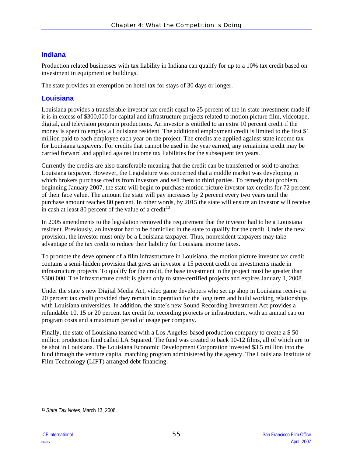## **Indiana**

Production related businesses with tax liability in Indiana can qualify for up to a 10% tax credit based on investment in equipment or buildings.

The state provides an exemption on hotel tax for stays of 30 days or longer.

### **Louisiana**

Louisiana provides a transferable investor tax credit equal to 25 percent of the in-state investment made if it is in excess of \$300,000 for capital and infrastructure projects related to motion picture film, videotape, digital, and television program productions. An investor is entitled to an extra 10 percent credit if the money is spent to employ a Louisiana resident. The additional employment credit is limited to the first \$1 million paid to each employee each year on the project. The credits are applied against state income tax for Louisiana taxpayers. For credits that cannot be used in the year earned, any remaining credit may be carried forward and applied against income tax liabilities for the subsequent ten years.

Currently the credits are also transferable meaning that the credit can be transferred or sold to another Louisiana taxpayer. However, the Legislature was concerned that a middle market was developing in which brokers purchase credits from investors and sell them to third parties. To remedy that problem, beginning January 2007, the state will begin to purchase motion picture investor tax credits for 72 percent of their face value. The amount the state will pay increases by 2 percent every two years until the purchase amount reaches 80 percent. In other words, by 2015 the state will ensure an investor will receive in cash at least 80 percent of the value of a credit<sup>[13](#page-60-0)</sup>.

In 2005 amendments to the legislation removed the requirement that the investor had to be a Louisiana resident. Previously, an investor had to be domiciled in the state to qualify for the credit. Under the new provision, the investor must only be a Louisiana taxpayer. Thus, nonresident taxpayers may take advantage of the tax credit to reduce their liability for Louisiana income taxes.

To promote the development of a film infrastructure in Louisiana, the motion picture investor tax credit contains a semi-hidden provision that gives an investor a 15 percent credit on investments made in infrastructure projects. To qualify for the credit, the base investment in the project must be greater than \$300,000. The infrastructure credit is given only to state-certified projects and expires January 1, 2008.

Under the state's new Digital Media Act, video game developers who set up shop in Louisiana receive a 20 percent tax credit provided they remain in operation for the long term and build working relationships with Louisiana universities. In addition, the state's new Sound Recording Investment Act provides a refundable 10, 15 or 20 percent tax credit for recording projects or infrastructure, with an annual cap on program costs and a maximum period of usage per company.

Finally, the state of Louisiana teamed with a Los Angeles-based production company to create a \$ 50 million production fund called LA Squared. The fund was created to back 10-12 films, all of which are to be shot in Louisiana. The Louisiana Economic Development Corporation invested \$3.5 million into the fund through the venture capital matching program administered by the agency. The Louisiana Institute of Film Technology (LIFT) arranged debt financing.

l

<span id="page-60-0"></span><sup>13</sup> *State Tax Notes*, March 13, 2006.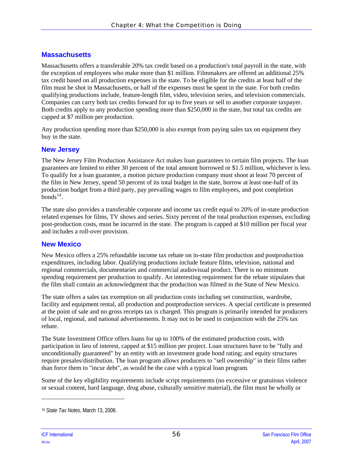### **Massachusetts**

Massachusetts offers a transferable 20% tax credit based on a production's total payroll in the state, with the exception of employees who make more than \$1 million. Filmmakers are offered an additional 25% tax credit based on all production expenses in the state. To be eligible for the credits at least half of the film must be shot in Massachusetts, or half of the expenses must be spent in the state. For both credits qualifying productions include, feature-length film, video, television series, and television commercials. Companies can carry both tax credits forward for up to five years or sell to another corporate taxpayer. Both credits apply to any production spending more than \$250,000 in the state, but total tax credits are capped at \$7 million per production.

Any production spending more than \$250,000 is also exempt from paying sales tax on equipment they buy in the state.

#### **New Jersey**

The New Jersey Film Production Assistance Act makes loan guarantees to certain film projects. The loan guarantees are limited to either 30 percent of the total amount borrowed or \$1.5 million, whichever is less. To qualify for a loan guarantee, a motion picture production company must shoot at least 70 percent of the film in New Jersey, spend 50 percent of its total budget in the state, borrow at least one-half of its production budget from a third party, pay prevailing wages to film employees, and post completion  $bonds<sup>14</sup>$  $bonds<sup>14</sup>$  $bonds<sup>14</sup>$ .

The state also provides a transferable corporate and income tax credit equal to 20% of in-state production related expenses for films, TV shows and series. Sixty percent of the total production expenses, excluding post-production costs, must be incurred in the state. The program is capped at \$10 million per fiscal year and includes a roll-over provision.

### **New Mexico**

New Mexico offers a 25% refundable income tax rebate on in-state film production and postproduction expenditures, including labor. Qualifying productions include feature films, television, national and regional commercials, documentaries and commercial audiovisual product. There is no minimum spending requirement per production to qualify. An interesting requirement for the rebate stipulates that the film shall contain an acknowledgment that the production was filmed in the State of New Mexico.

The state offers a sales tax exemption on all production costs including set construction, wardrobe, facility and equipment rental, all production and postproduction services. A special certificate is presented at the point of sale and no gross receipts tax is charged. This program is primarily intended for producers of local, regional, and national advertisements. It may not to be used in conjunction with the 25% tax rebate.

The State Investment Office offers loans for up to 100% of the estimated production costs, with participation in lieu of interest, capped at \$15 million per project. Loan structures have to be "fully and unconditionally guaranteed" by an entity with an investment grade bond rating; and equity structures require presales/distribution. The loan program allows producers to "sell ownership" in their films rather than force them to "incur debt", as would be the case with a typical loan program.

Some of the key eligibility requirements include script requirements (no excessive or gratuitous violence or sexual content, hard language, drug abuse, culturally sensitive material), the film must be wholly or

l

<span id="page-61-0"></span><sup>14</sup> *State Tax Notes*, March 13, 2006.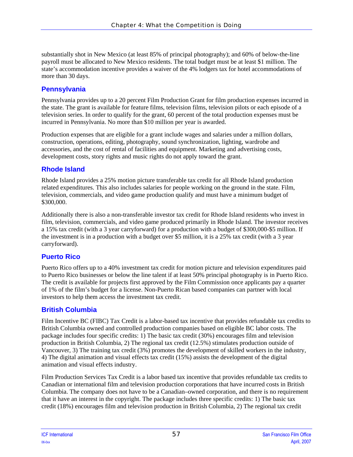substantially shot in New Mexico (at least 85% of principal photography); and 60% of below-the-line payroll must be allocated to New Mexico residents. The total budget must be at least \$1 million. The state's accommodation incentive provides a waiver of the 4% lodgers tax for hotel accommodations of more than 30 days.

## **Pennsylvania**

Pennsylvania provides up to a 20 percent Film Production Grant for film production expenses incurred in the state. The grant is available for feature films, television films, television pilots or each episode of a television series. In order to qualify for the grant, 60 percent of the total production expenses must be incurred in Pennsylvania. No more than \$10 million per year is awarded.

Production expenses that are eligible for a grant include wages and salaries under a million dollars, construction, operations, editing, photography, sound synchronization, lighting, wardrobe and accessories, and the cost of rental of facilities and equipment. Marketing and advertising costs, development costs, story rights and music rights do not apply toward the grant.

## **Rhode Island**

Rhode Island provides a 25% motion picture transferable tax credit for all Rhode Island production related expenditures. This also includes salaries for people working on the ground in the state. Film, television, commercials, and video game production qualify and must have a minimum budget of \$300,000.

Additionally there is also a non-transferable investor tax credit for Rhode Island residents who invest in film, television, commercials, and video game produced primarily in Rhode Island. The investor receives a 15% tax credit (with a 3 year carryforward) for a production with a budget of \$300,000-\$5 million. If the investment is in a production with a budget over \$5 million, it is a 25% tax credit (with a 3 year carryforward).

# **Puerto Rico**

Puerto Rico offers up to a 40% investment tax credit for motion picture and television expenditures paid to Puerto Rico businesses or below the line talent if at least 50% principal photography is in Puerto Rico. The credit is available for projects first approved by the Film Commission once applicants pay a quarter of 1% of the film's budget for a license. Non-Puerto Rican based companies can partner with local investors to help them access the investment tax credit.

# **British Columbia**

Film Incentive BC (FIBC) Tax Credit is a labor-based tax incentive that provides refundable tax credits to British Columbia owned and controlled production companies based on eligible BC labor costs. The package includes four specific credits: 1) The basic tax credit (30%) encourages film and television production in British Columbia, 2) The regional tax credit (12.5%) stimulates production outside of Vancouver, 3) The training tax credit (3%) promotes the development of skilled workers in the industry, 4) The digital animation and visual effects tax credit (15%) assists the development of the digital animation and visual effects industry.

Film Production Services Tax Credit is a labor based tax incentive that provides refundable tax credits to Canadian or international film and television production corporations that have incurred costs in British Columbia. The company does not have to be a Canadian–owned corporation, and there is no requirement that it have an interest in the copyright. The package includes three specific credits: 1) The basic tax credit (18%) encourages film and television production in British Columbia, 2) The regional tax credit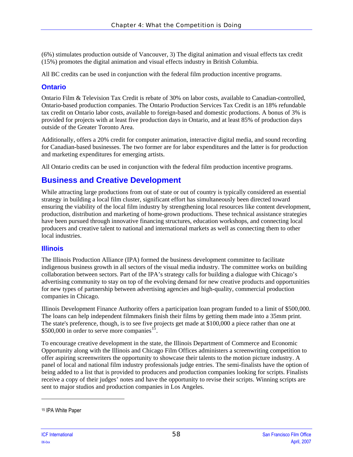(6%) stimulates production outside of Vancouver, 3) The digital animation and visual effects tax credit (15%) promotes the digital animation and visual effects industry in British Columbia.

All BC credits can be used in conjunction with the federal film production incentive programs.

### **Ontario**

Ontario Film & Television Tax Credit is rebate of 30% on labor costs, available to Canadian-controlled, Ontario-based production companies. The Ontario Production Services Tax Credit is an 18% refundable tax credit on Ontario labor costs, available to foreign-based and domestic productions. A bonus of 3% is provided for projects with at least five production days in Ontario, and at least 85% of production days outside of the Greater Toronto Area.

Additionally, offers a 20% credit for computer animation, interactive digital media, and sound recording for Canadian-based businesses. The two former are for labor expenditures and the latter is for production and marketing expenditures for emerging artists.

All Ontario credits can be used in conjunction with the federal film production incentive programs.

# **Business and Creative Development**

While attracting large productions from out of state or out of country is typically considered an essential strategy in building a local film cluster, significant effort has simultaneously been directed toward ensuring the viability of the local film industry by strengthening local resources like content development, production, distribution and marketing of home-grown productions. These technical assistance strategies have been pursued through innovative financing structures, education workshops, and connecting local producers and creative talent to national and international markets as well as connecting them to other local industries.

### **Illinois**

The Illinois Production Alliance (IPA) formed the business development committee to facilitate indigenous business growth in all sectors of the visual media industry. The committee works on building collaboration between sectors. Part of the IPA's strategy calls for building a dialogue with Chicago's advertising community to stay on top of the evolving demand for new creative products and opportunities for new types of partnership between advertising agencies and high-quality, commercial production companies in Chicago.

Illinois Development Finance Authority offers a participation loan program funded to a limit of \$500,000. The loans can help independent filmmakers finish their films by getting them made into a 35mm print. The state's preference, though, is to see five projects get made at \$100,000 a piece rather than one at \$500,000 in order to serve more companies $^{15}$  $^{15}$  $^{15}$ .

To encourage creative development in the state, the Illinois Department of Commerce and Economic Opportunity along with the Illinois and Chicago Film Offices administers a screenwriting competition to offer aspiring screenwriters the opportunity to showcase their talents to the motion picture industry. A panel of local and national film industry professionals judge entries. The semi-finalists have the option of being added to a list that is provided to producers and production companies looking for scripts. Finalists receive a copy of their judges' notes and have the opportunity to revise their scripts. Winning scripts are sent to major studios and production companies in Los Angeles.

1

<span id="page-63-0"></span><sup>15</sup> IPA White Paper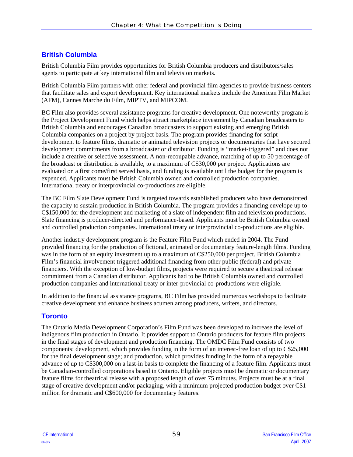# **British Columbia**

British Columbia Film provides opportunities for British Columbia producers and distributors/sales agents to participate at key international film and television markets.

British Columbia Film partners with other federal and provincial film agencies to provide business centers that facilitate sales and export development. Key international markets include the American Film Market (AFM), Cannes Marche du Film, MIPTV, and MIPCOM.

BC Film also provides several assistance programs for creative development. One noteworthy program is the Project Development Fund which helps attract marketplace investment by Canadian broadcasters to British Columbia and encourages Canadian broadcasters to support existing and emerging British Columbia companies on a project by project basis. The program provides financing for script development to feature films, dramatic or animated television projects or documentaries that have secured development commitments from a broadcaster or distributor. Funding is "market-triggered" and does not include a creative or selective assessment. A non-recoupable advance, matching of up to 50 percentage of the broadcast or distribution is available, to a maximum of C\$30,000 per project. Applications are evaluated on a first come/first served basis, and funding is available until the budget for the program is expended. Applicants must be British Columbia owned and controlled production companies. International treaty or interprovincial co-productions are eligible.

The BC Film Slate Development Fund is targeted towards established producers who have demonstrated the capacity to sustain production in British Columbia. The program provides a financing envelope up to C\$150,000 for the development and marketing of a slate of independent film and television productions. Slate financing is producer-directed and performance-based. Applicants must be British Columbia owned and controlled production companies. International treaty or interprovincial co-productions are eligible.

Another industry development program is the Feature Film Fund which ended in 2004. The Fund provided financing for the production of fictional, animated or documentary feature-length films. Funding was in the form of an equity investment up to a maximum of C\$250,000 per project. British Columbia Film's financial involvement triggered additional financing from other public (federal) and private financiers. With the exception of low-budget films, projects were required to secure a theatrical release commitment from a Canadian distributor. Applicants had to be British Columbia owned and controlled production companies and international treaty or inter-provincial co-productions were eligible.

In addition to the financial assistance programs, BC Film has provided numerous workshops to facilitate creative development and enhance business acumen among producers, writers, and directors.

# **Toronto**

The Ontario Media Development Corporation's Film Fund was been developed to increase the level of indigenous film production in Ontario. It provides support to Ontario producers for feature film projects in the final stages of development and production financing. The OMDC Film Fund consists of two components: development, which provides funding in the form of an interest-free loan of up to C\$25,000 for the final development stage; and production, which provides funding in the form of a repayable advance of up to C\$300,000 on a last-in basis to complete the financing of a feature film. Applicants must be Canadian-controlled corporations based in Ontario. Eligible projects must be dramatic or documentary feature films for theatrical release with a proposed length of over 75 minutes. Projects must be at a final stage of creative development and/or packaging, with a minimum projected production budget over C\$1 million for dramatic and C\$600,000 for documentary features.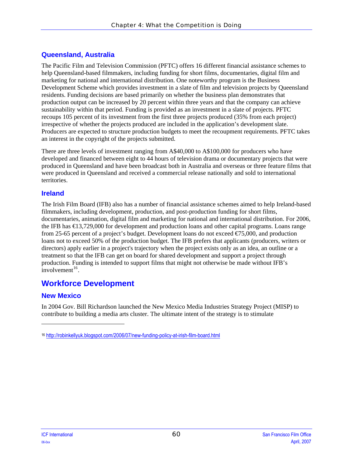## **Queensland, Australia**

The Pacific Film and Television Commission (PFTC) offers 16 different financial assistance schemes to help Queensland-based filmmakers, including funding for short films, documentaries, digital film and marketing for national and international distribution. One noteworthy program is the Business Development Scheme which provides investment in a slate of film and television projects by Queensland residents. Funding decisions are based primarily on whether the business plan demonstrates that production output can be increased by 20 percent within three years and that the company can achieve sustainability within that period. Funding is provided as an investment in a slate of projects. PFTC recoups 105 percent of its investment from the first three projects produced (35% from each project) irrespective of whether the projects produced are included in the application's development slate. Producers are expected to structure production budgets to meet the recoupment requirements. PFTC takes an interest in the copyright of the projects submitted.

There are three levels of investment ranging from A\$40,000 to A\$100,000 for producers who have developed and financed between eight to 44 hours of television drama or documentary projects that were produced in Queensland and have been broadcast both in Australia and overseas or three feature films that were produced in Queensland and received a commercial release nationally and sold to international territories.

### **Ireland**

The Irish Film Board (IFB) also has a number of financial assistance schemes aimed to help Ireland-based filmmakers, including development, production, and post-production funding for short films, documentaries, animation, digital film and marketing for national and international distribution. For 2006, the IFB has €13,729,000 for development and production loans and other capital programs. Loans range from 25-65 percent of a project's budget. Development loans do not exceed  $\epsilon$  5,000, and production loans not to exceed 50% of the production budget. The IFB prefers that applicants (producers, writers or directors) apply earlier in a project's trajectory when the project exists only as an idea, an outline or a treatment so that the IFB can get on board for shared development and support a project through production. Funding is intended to support films that might not otherwise be made without IFB's  $involvement<sup>16</sup>$  $involvement<sup>16</sup>$  $involvement<sup>16</sup>$ .

# **Workforce Development**

## **New Mexico**

 $\overline{\phantom{a}}$ 

In 2004 Gov. Bill Richardson launched the New Mexico Media Industries Strategy Project (MISP) to contribute to building a media arts cluster. The ultimate intent of the strategy is to stimulate

<span id="page-65-0"></span><sup>16</sup> <http://robinkellyuk.blogspot.com/2006/07/new-funding-policy-at-irish-film-board.html>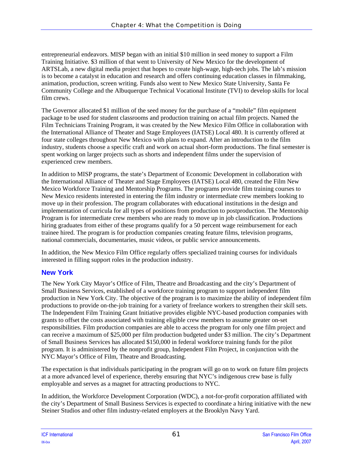entrepreneurial endeavors. MISP began with an initial \$10 million in seed money to support a Film Training Initiative. \$3 million of that went to University of New Mexico for the development of ARTSLab, a new digital media project that hopes to create high-wage, high-tech jobs. The lab's mission is to become a catalyst in education and research and offers continuing education classes in filmmaking, animation, production, screen writing. Funds also went to New Mexico State University, Santa Fe Community College and the Albuquerque Technical Vocational Institute (TVI) to develop skills for local film crews.

The Governor allocated \$1 million of the seed money for the purchase of a "mobile" film equipment package to be used for student classrooms and production training on actual film projects. Named the Film Technicians Training Program, it was created by the New Mexico Film Office in collaboration with the International Alliance of Theater and Stage Employees (IATSE) Local 480. It is currently offered at four state colleges throughout New Mexico with plans to expand. After an introduction to the film industry, students choose a specific craft and work on actual short-form productions. The final semester is spent working on larger projects such as shorts and independent films under the supervision of experienced crew members.

In addition to MISP programs, the state's Department of Economic Development in collaboration with the International Alliance of Theater and Stage Employees (IATSE) Local 480, created the Film New Mexico Workforce Training and Mentorship Programs. The programs provide film training courses to New Mexico residents interested in entering the film industry or intermediate crew members looking to move up in their profession. The program collaborates with educational institutions in the design and implementation of curricula for all types of positions from production to postproduction. The Mentorship Program is for intermediate crew members who are ready to move up in job classification. Productions hiring graduates from either of these programs qualify for a 50 percent wage reimbursement for each trainee hired. The program is for production companies creating feature films, television programs, national commercials, documentaries, music videos, or public service announcements.

In addition, the New Mexico Film Office regularly offers specialized training courses for individuals interested in filling support roles in the production industry.

## **New York**

The New York City Mayor's Office of Film, Theatre and Broadcasting and the city's Department of Small Business Services, established of a workforce training program to support independent film production in New York City. The objective of the program is to maximize the ability of independent film productions to provide on-the-job training for a variety of freelance workers to strengthen their skill sets. The Independent Film Training Grant Initiative provides eligible NYC-based production companies with grants to offset the costs associated with training eligible crew members to assume greater on-set responsibilities. Film production companies are able to access the program for only one film project and can receive a maximum of \$25,000 per film production budgeted under \$3 million. The city's Department of Small Business Services has allocated \$150,000 in federal workforce training funds for the pilot program. It is administered by the nonprofit group, Independent Film Project, in conjunction with the NYC Mayor's Office of Film, Theatre and Broadcasting.

The expectation is that individuals participating in the program will go on to work on future film projects at a more advanced level of experience, thereby ensuring that NYC's indigenous crew base is fully employable and serves as a magnet for attracting productions to NYC.

In addition, the Workforce Development Corporation (WDC), a not-for-profit corporation affiliated with the city's Department of Small Business Services is expected to coordinate a hiring initiative with the new Steiner Studios and other film industry-related employers at the Brooklyn Navy Yard.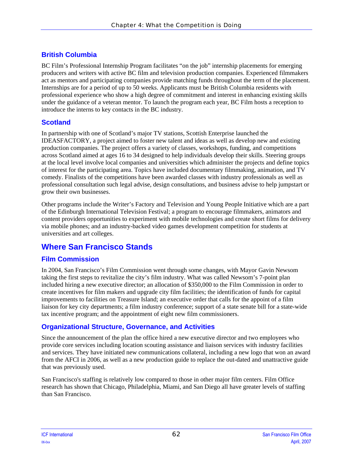# **British Columbia**

BC Film's Professional Internship Program facilitates "on the job" internship placements for emerging producers and writers with active BC film and television production companies. Experienced filmmakers act as mentors and participating companies provide matching funds throughout the term of the placement. Internships are for a period of up to 50 weeks. Applicants must be British Columbia residents with professional experience who show a high degree of commitment and interest in enhancing existing skills under the guidance of a veteran mentor. To launch the program each year, BC Film hosts a reception to introduce the interns to key contacts in the BC industry.

## **Scotland**

In partnership with one of Scotland's major TV stations, Scottish Enterprise launched the IDEASFACTORY, a project aimed to foster new talent and ideas as well as develop new and existing production companies. The project offers a variety of classes, workshops, funding, and competitions across Scotland aimed at ages 16 to 34 designed to help individuals develop their skills. Steering groups at the local level involve local companies and universities which administer the projects and define topics of interest for the participating area. Topics have included documentary filmmaking, animation, and TV comedy. Finalists of the competitions have been awarded classes with industry professionals as well as professional consultation such legal advise, design consultations, and business advise to help jumpstart or grow their own businesses.

Other programs include the Writer's Factory and Television and Young People Initiative which are a part of the Edinburgh International Television Festival; a program to encourage filmmakers, animators and content providers opportunities to experiment with mobile technologies and create short films for delivery via mobile phones; and an industry-backed video games development competition for students at universities and art colleges.

# **Where San Francisco Stands**

# **Film Commission**

In 2004, San Francisco's Film Commission went through some changes, with Mayor Gavin Newsom taking the first steps to revitalize the city's film industry. What was called Newsom's 7-point plan included hiring a new executive director; an allocation of \$350,000 to the Film Commission in order to create incentives for film makers and upgrade city film facilities; the identification of funds for capital improvements to facilities on Treasure Island; an executive order that calls for the appoint of a film liaison for key city departments; a film industry conference; support of a state senate bill for a state-wide tax incentive program; and the appointment of eight new film commissioners.

# **Organizational Structure, Governance, and Activities**

Since the announcement of the plan the office hired a new executive director and two employees who provide core services including location scouting assistance and liaison services with industry facilities and services. They have initiated new communications collateral, including a new logo that won an award from the AFCI in 2006, as well as a new production guide to replace the out-dated and unattractive guide that was previously used.

San Francisco's staffing is relatively low compared to those in other major film centers. Film Office research has shown that Chicago, Philadelphia, Miami, and San Diego all have greater levels of staffing than San Francisco.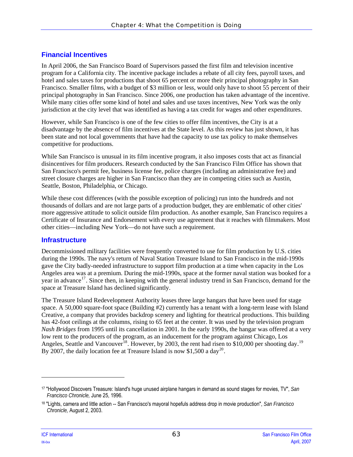## **Financial Incentives**

In April 2006, the San Francisco Board of Supervisors passed the first film and television incentive program for a California city. The incentive package includes a rebate of all city fees, payroll taxes, and hotel and sales taxes for productions that shoot 65 percent or more their principal photography in San Francisco. Smaller films, with a budget of \$3 million or less, would only have to shoot 55 percent of their principal photography in San Francisco. Since 2006, one production has taken advantage of the incentive. While many cities offer some kind of hotel and sales and use taxes incentives, New York was the only jurisdiction at the city level that was identified as having a tax credit for wages and other expenditures.

However, while San Francisco is one of the few cities to offer film incentives, the City is at a disadvantage by the absence of film incentives at the State level. As this review has just shown, it has been state and not local governments that have had the capacity to use tax policy to make themselves competitive for productions.

While San Francisco is unusual in its film incentive program, it also imposes costs that act as financial disincentives for film producers. Research conducted by the San Francisco Film Office has shown that San Francisco's permit fee, business license fee, police charges (including an administrative fee) and street closure charges are higher in San Francisco than they are in competing cities such as Austin, Seattle, Boston, Philadelphia, or Chicago.

While these cost differences (with the possible exception of policing) run into the hundreds and not thousands of dollars and are not large parts of a production budget, they are emblematic of other cities' more aggressive attitude to solicit outside film production. As another example, San Francisco requires a Certificate of Insurance and Endorsement with every use agreement that it reaches with filmmakers. Most other cities—including New York—do not have such a requirement.

### **Infrastructure**

Decommissioned military facilities were frequently converted to use for film production by U.S. cities during the 1990s. The navy's return of Naval Station Treasure Island to San Francisco in the mid-1990s gave the City badly-needed infrastructure to support film production at a time when capacity in the Los Angeles area was at a premium. During the mid-1990s, space at the former naval station was booked for a year in advance<sup>[17](#page-68-0)</sup>. Since then, in keeping with the general industry trend in San Francisco, demand for the space at Treasure Island has declined significantly.

The Treasure Island Redevelopment Authority leases three large hangars that have been used for stage space. A 50,000 square-foot space (Building #2) currently has a tenant with a long-term lease with Island Creative, a company that provides backdrop scenery and lighting for theatrical productions. This building has 42-foot ceilings at the columns, rising to 65 feet at the center. It was used by the television program *Nash Bridges* from 1995 until its cancellation in 2001. In the early 1990s, the hangar was offered at a very low rent to the producers of the program, as an inducement for the program against Chicago, Los Angeles, Seattle and Vancouver<sup>[18](#page-68-1)</sup>. However, by 2003, the rent had risen to \$10,000 per shooting day.<sup>[19](#page-68-2)</sup> By [20](#page-68-3)07, the daily location fee at Treasure Island is now \$1,500 a day<sup>20</sup>.

l

<span id="page-68-2"></span><span id="page-68-0"></span><sup>17 &</sup>quot;Hollywood Discovers Treasure: Island's huge unused airplane hangars in demand as sound stages for movies, TV", *San Francisco Chronicle,* June 25, 1996.

<span id="page-68-3"></span><span id="page-68-1"></span><sup>18 &</sup>quot;Lights, camera and little action -- San Francisco's mayoral hopefuls address drop in movie production", *San Francisco Chronicle,* August 2, 2003.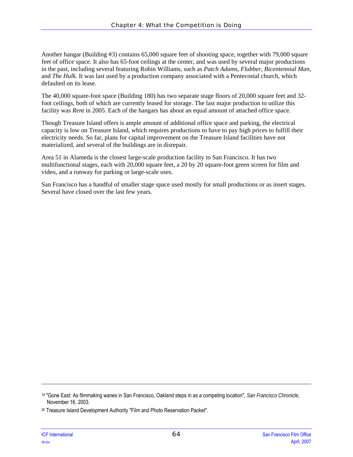Another hangar (Building #3) contains 65,000 square feet of shooting space, together with 79,000 square feet of office space. It also has 65-foot ceilings at the center, and was used by several major productions in the past, including several featuring Robin Williams, such as *Patch Adams*, *Flubber*, *Bicentennial Man,*  and *The Hulk.* It was last used by a production company associated with a Pentecostal church, which defaulted on its lease.

The 40,000 square-foot space (Building 180) has two separate stage floors of 20,000 square feet and 32 foot ceilings, both of which are currently leased for storage. The last major production to utilize this facility was *Rent* in 2005. Each of the hangars has about an equal amount of attached office space.

Though Treasure Island offers is ample amount of additional office space and parking, the electrical capacity is low on Treasure Island, which requires productions to have to pay high prices to fulfill their electricity needs. So far, plans for capital improvement on the Treasure Island facilities have not materialized, and several of the buildings are in disrepair.

Area 51 in Alameda is the closest large-scale production facility to San Francisco. It has two multifunctional stages, each with 20,000 square feet, a 20 by 20 square-foot green screen for film and video, and a runway for parking or large-scale uses.

San Francisco has a handful of smaller stage space used mostly for small productions or as insert stages. Several have closed over the last few years.

 $\overline{\phantom{a}}$ 

<sup>19 &</sup>quot;Gone East: As filmmaking wanes in San Francisco, Oakland steps in as a competing location", *San Francisco Chronicle,*  November 16, 2003.

<sup>20</sup> Treasure Island Development Authority "Film and Photo Reservation Packet".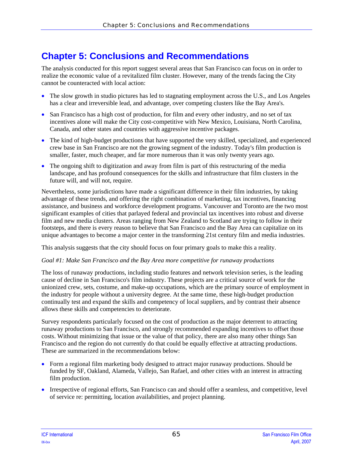# **Chapter 5: Conclusions and Recommendations**

The analysis conducted for this report suggest several areas that San Francisco can focus on in order to realize the economic value of a revitalized film cluster. However, many of the trends facing the City cannot be counteracted with local action:

- The slow growth in studio pictures has led to stagnating employment across the U.S., and Los Angeles has a clear and irreversible lead, and advantage, over competing clusters like the Bay Area's.
- San Francisco has a high cost of production, for film and every other industry, and no set of tax incentives alone will make the City cost-competitive with New Mexico, Louisiana, North Carolina, Canada, and other states and countries with aggressive incentive packages.
- The kind of high-budget productions that have supported the very skilled, specialized, and experienced crew base in San Francisco are not the growing segment of the industry. Today's film production is smaller, faster, much cheaper, and far more numerous than it was only twenty years ago.
- The ongoing shift to digitization and away from film is part of this restructuring of the media landscape, and has profound consequences for the skills and infrastructure that film clusters in the future will, and will not, require.

Nevertheless, some jurisdictions have made a significant difference in their film industries, by taking advantage of these trends, and offering the right combination of marketing, tax incentives, financing assistance, and business and workforce development programs. Vancouver and Toronto are the two most significant examples of cities that parlayed federal and provincial tax incentives into robust and diverse film and new media clusters. Areas ranging from New Zealand to Scotland are trying to follow in their footsteps, and there is every reason to believe that San Francisco and the Bay Area can capitalize on its unique advantages to become a major center in the transforming 21st century film and media industries.

This analysis suggests that the city should focus on four primary goals to make this a reality.

#### *Goal #1: Make San Francisco and the Bay Area more competitive for runaway productions*

The loss of runaway productions, including studio features and network television series, is the leading cause of decline in San Francisco's film industry. These projects are a critical source of work for the unionized crew, sets, costume, and make-up occupations, which are the primary source of employment in the industry for people without a university degree. At the same time, these high-budget production continually test and expand the skills and competency of local suppliers, and by contrast their absence allows these skills and competencies to deteriorate.

Survey respondents particularly focused on the cost of production as the major deterrent to attracting runaway productions to San Francisco, and strongly recommended expanding incentives to offset those costs. Without minimizing that issue or the value of that policy, there are also many other things San Francisco and the region do not currently do that could be equally effective at attracting productions. These are summarized in the recommendations below:

- Form a regional film marketing body designed to attract major runaway productions. Should be funded by SF, Oakland, Alameda, Vallejo, San Rafael, and other cities with an interest in attracting film production.
- Irrespective of regional efforts, San Francisco can and should offer a seamless, and competitive, level of service re: permitting, location availabilities, and project planning.